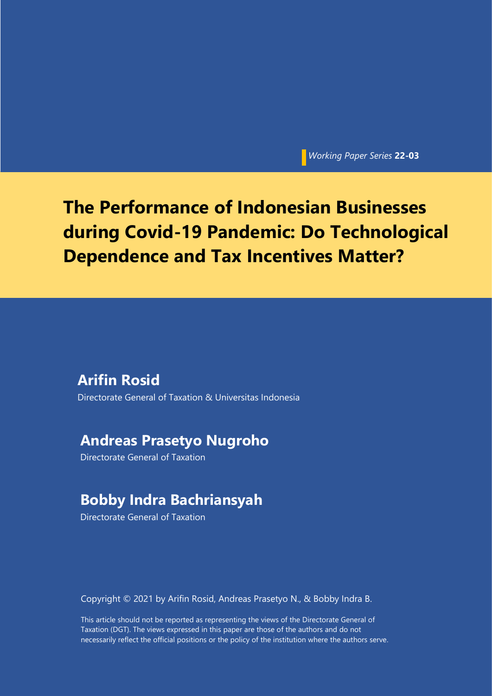*Working Paper Series* **22-03**

# **The Performance of Indonesian Businesses during Covid-19 Pandemic: Do Technological Dependence and Tax Incentives Matter?**

## **Arifin Rosid**

Directorate General of Taxation & Universitas Indonesia

## **Andreas Prasetyo Nugroho**

Directorate General of Taxation

## **Bobby Indra Bachriansyah**

Directorate General of Taxation

Copyright © 2021 by Arifin Rosid, Andreas Prasetyo N., & Bobby Indra B.

This article should not be reported as representing the views of the Directorate General of Taxation (DGT). The views expressed in this paper are those of the authors and do not necessarily reflect the official positions or the policy of the institution where the authors serve.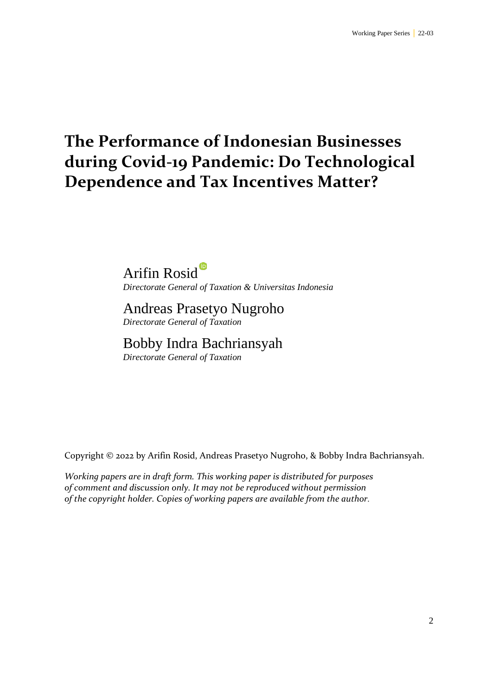# **The Performance of Indonesian Businesses during Covid-19 Pandemic: Do Technological Dependence and Tax Incentives Matter?**

Arifin Rosid<sup>®</sup> *Directorate General of Taxation & Universitas Indonesia*

Andreas Prasetyo Nugroho *Directorate General of Taxation*

## Bobby Indra Bachriansyah

*Directorate General of Taxation*

Copyright © 2022 by Arifin Rosid, Andreas Prasetyo Nugroho, & Bobby Indra Bachriansyah.

*Working papers are in draft form. This working paper is distributed for purposes of comment and discussion only. It may not be reproduced without permission of the copyright holder. Copies of working papers are available from the author.*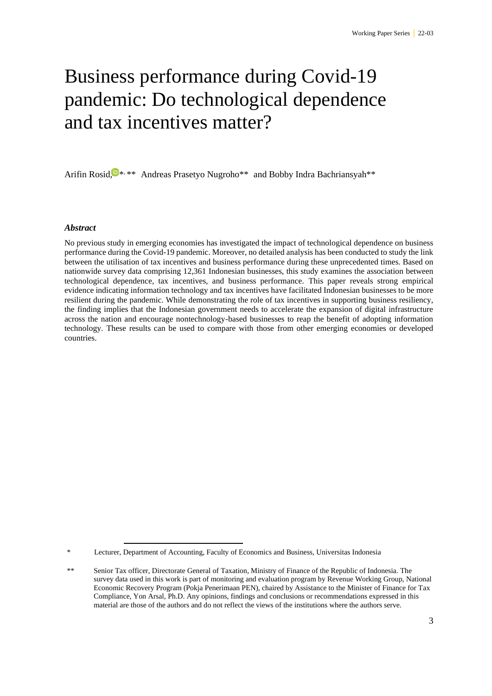# Business performance during Covid-19 pandemic: Do technological dependence and tax incentives matter?

Arifin Rosid,<sup>1</sup><sup>\*</sup>\*\* Andreas Prasetyo Nugroho<sup>\*\*</sup> and Bobby Indra Bachriansyah<sup>\*\*</sup>

#### *Abstract*

No previous study in emerging economies has investigated the impact of technological dependence on business performance during the Covid-19 pandemic. Moreover, no detailed analysis has been conducted to study the link between the utilisation of tax incentives and business performance during these unprecedented times. Based on nationwide survey data comprising 12,361 Indonesian businesses, this study examines the association between technological dependence, tax incentives, and business performance. This paper reveals strong empirical evidence indicating information technology and tax incentives have facilitated Indonesian businesses to be more resilient during the pandemic. While demonstrating the role of tax incentives in supporting business resiliency, the finding implies that the Indonesian government needs to accelerate the expansion of digital infrastructure across the nation and encourage nontechnology-based businesses to reap the benefit of adopting information technology. These results can be used to compare with those from other emerging economies or developed countries.

Lecturer, Department of Accounting, Faculty of Economics and Business, Universitas Indonesia

<sup>&</sup>lt;sup>\*\*</sup> Senior Tax officer, Directorate General of Taxation, Ministry of Finance of the Republic of Indonesia. The survey data used in this work is part of monitoring and evaluation program by Revenue Working Group, National Economic Recovery Program (Pokja Penerimaan PEN), chaired by Assistance to the Minister of Finance for Tax Compliance, Yon Arsal, Ph.D. Any opinions, findings and conclusions or recommendations expressed in this material are those of the authors and do not reflect the views of the institutions where the authors serve.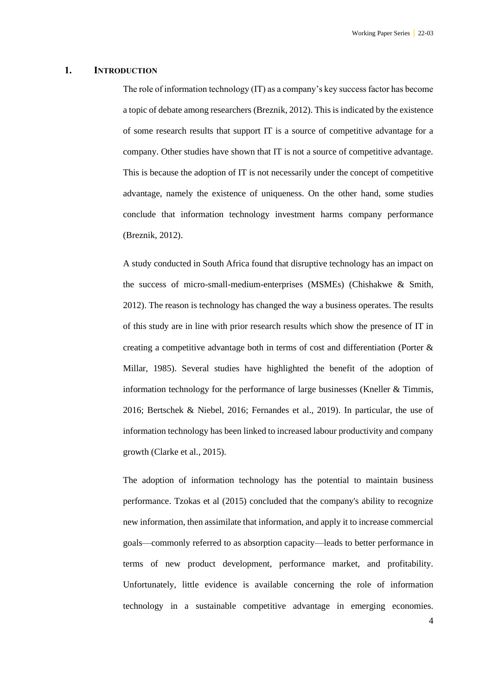#### **1. INTRODUCTION**

The role of information technology (IT) as a company's key success factor has become a topic of debate among researchers (Breznik, 2012). This is indicated by the existence of some research results that support IT is a source of competitive advantage for a company. Other studies have shown that IT is not a source of competitive advantage. This is because the adoption of IT is not necessarily under the concept of competitive advantage, namely the existence of uniqueness. On the other hand, some studies conclude that information technology investment harms company performance (Breznik, 2012).

A study conducted in South Africa found that disruptive technology has an impact on the success of micro-small-medium-enterprises (MSMEs) (Chishakwe & Smith, 2012). The reason is technology has changed the way a business operates. The results of this study are in line with prior research results which show the presence of IT in creating a competitive advantage both in terms of cost and differentiation (Porter & Millar, 1985). Several studies have highlighted the benefit of the adoption of information technology for the performance of large businesses (Kneller  $&$  Timmis, 2016; Bertschek & Niebel, 2016; Fernandes et al., 2019). In particular, the use of information technology has been linked to increased labour productivity and company growth (Clarke et al., 2015).

The adoption of information technology has the potential to maintain business performance. Tzokas et al (2015) concluded that the company's ability to recognize new information, then assimilate that information, and apply it to increase commercial goals—commonly referred to as absorption capacity—leads to better performance in terms of new product development, performance market, and profitability. Unfortunately, little evidence is available concerning the role of information technology in a sustainable competitive advantage in emerging economies.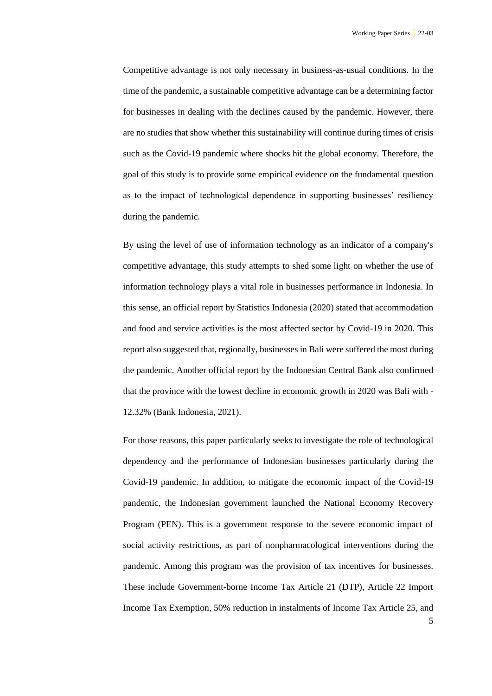Competitive advantage is not only necessary in business-as-usual conditions. In the time of the pandemic, a sustainable competitive advantage can be a determining factor for businesses in dealing with the declines caused by the pandemic. However, there are no studies that show whether this sustainability will continue during times of crisis such as the Covid-19 pandemic where shocks hit the global economy. Therefore, the goal of this study is to provide some empirical evidence on the fundamental question as to the impact of technological dependence in supporting businesses' resiliency during the pandemic.

By using the level of use of information technology as an indicator of a company's competitive advantage, this study attempts to shed some light on whether the use of information technology plays a vital role in businesses performance in Indonesia. In this sense, an official report by Statistics Indonesia (2020) stated that accommodation and food and service activities is the most affected sector by Covid-19 in 2020. This report also suggested that, regionally, businesses in Bali were suffered the most during the pandemic. Another official report by the Indonesian Central Bank also confirmed that the province with the lowest decline in economic growth in 2020 was Bali with - 12.32% (Bank Indonesia, 2021).

For those reasons, this paper particularly seeks to investigate the role of technological dependency and the performance of Indonesian businesses particularly during the Covid-19 pandemic. In addition, to mitigate the economic impact of the Covid-19 pandemic, the Indonesian government launched the National Economy Recovery Program (PEN). This is a government response to the severe economic impact of social activity restrictions, as part of nonpharmacological interventions during the pandemic. Among this program was the provision of tax incentives for businesses. These include Government-borne Income Tax Article 21 (DTP), Article 22 Import Income Tax Exemption, 50% reduction in instalments of Income Tax Article 25, and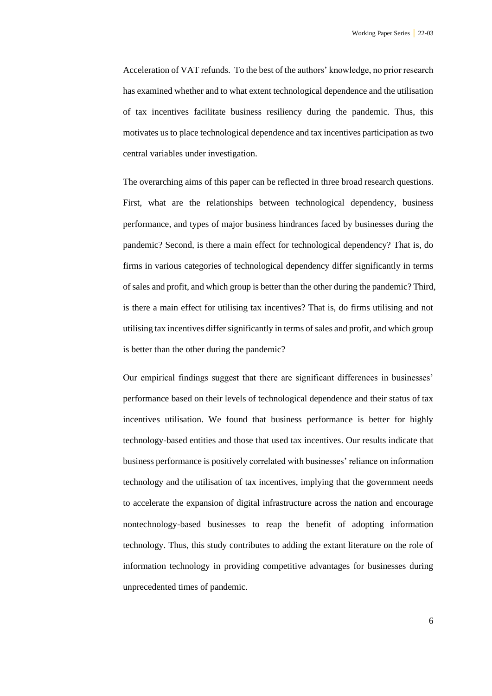Acceleration of VAT refunds. To the best of the authors' knowledge, no prior research has examined whether and to what extent technological dependence and the utilisation of tax incentives facilitate business resiliency during the pandemic. Thus, this motivates us to place technological dependence and tax incentives participation as two central variables under investigation.

The overarching aims of this paper can be reflected in three broad research questions. First, what are the relationships between technological dependency, business performance, and types of major business hindrances faced by businesses during the pandemic? Second, is there a main effect for technological dependency? That is, do firms in various categories of technological dependency differ significantly in terms of sales and profit, and which group is better than the other during the pandemic? Third, is there a main effect for utilising tax incentives? That is, do firms utilising and not utilising tax incentives differ significantly in terms of sales and profit, and which group is better than the other during the pandemic?

Our empirical findings suggest that there are significant differences in businesses' performance based on their levels of technological dependence and their status of tax incentives utilisation. We found that business performance is better for highly technology-based entities and those that used tax incentives. Our results indicate that business performance is positively correlated with businesses' reliance on information technology and the utilisation of tax incentives, implying that the government needs to accelerate the expansion of digital infrastructure across the nation and encourage nontechnology-based businesses to reap the benefit of adopting information technology. Thus, this study contributes to adding the extant literature on the role of information technology in providing competitive advantages for businesses during unprecedented times of pandemic.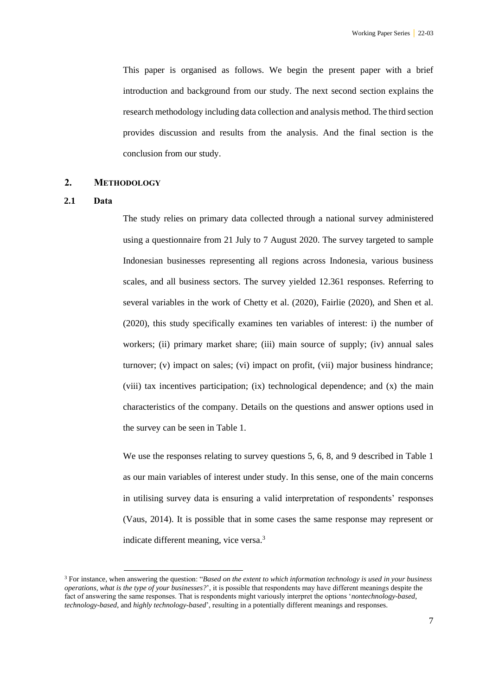This paper is organised as follows. We begin the present paper with a brief introduction and background from our study. The next second section explains the research methodology including data collection and analysis method. The third section provides discussion and results from the analysis. And the final section is the conclusion from our study.

#### **2. METHODOLOGY**

#### **2.1 Data**

The study relies on primary data collected through a national survey administered using a questionnaire from 21 July to 7 August 2020. The survey targeted to sample Indonesian businesses representing all regions across Indonesia, various business scales, and all business sectors. The survey yielded 12.361 responses. Referring to several variables in the work of Chetty et al. (2020), Fairlie (2020), and Shen et al. (2020), this study specifically examines ten variables of interest: i) the number of workers; (ii) primary market share; (iii) main source of supply; (iv) annual sales turnover; (v) impact on sales; (vi) impact on profit, (vii) major business hindrance; (viii) tax incentives participation; (ix) technological dependence; and (x) the main characteristics of the company. Details on the questions and answer options used in the survey can be seen in Table 1.

We use the responses relating to survey questions 5, 6, 8, and 9 described in Table 1 as our main variables of interest under study. In this sense, one of the main concerns in utilising survey data is ensuring a valid interpretation of respondents' responses (Vaus, 2014). It is possible that in some cases the same response may represent or indicate different meaning, vice versa.<sup>3</sup>

<sup>3</sup> For instance, when answering the question: "*Based on the extent to which information technology is used in your business operations, what is the type of your businesses?*', it is possible that respondents may have different meanings despite the fact of answering the same responses. That is respondents might variously interpret the options '*nontechnology-based*, *technology-based*, and *highly technology-based*', resulting in a potentially different meanings and responses.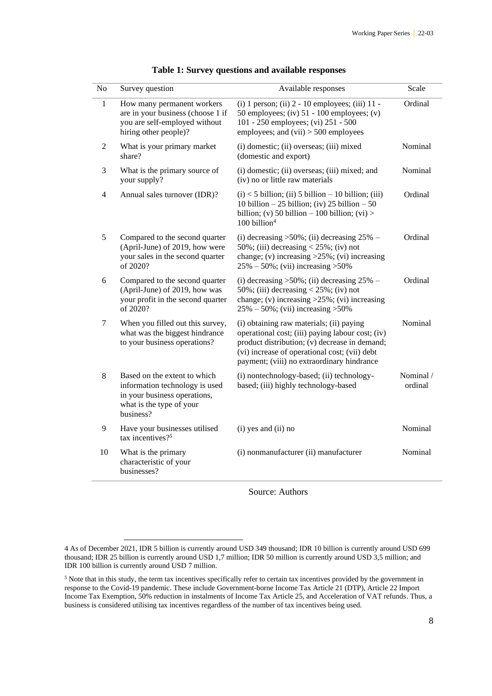<span id="page-7-0"></span>

| ${\bf No}$     | Survey question                                                                                                                         | Available responses                                                                                                                                                                                                                          | Scale                |
|----------------|-----------------------------------------------------------------------------------------------------------------------------------------|----------------------------------------------------------------------------------------------------------------------------------------------------------------------------------------------------------------------------------------------|----------------------|
| $\mathbf{1}$   | How many permanent workers<br>are in your business (choose 1 if<br>you are self-employed without<br>hiring other people)?               | (i) 1 person; (ii) 2 - 10 employees; (iii) 11 -<br>50 employees; (iv) $51 - 100$ employees; (v)<br>101 - 250 employees; (vi) 251 - 500<br>employees; and $(vii) > 500$ employees                                                             | Ordinal              |
| $\overline{2}$ | What is your primary market<br>share?                                                                                                   | (i) domestic; (ii) overseas; (iii) mixed<br>(domestic and export)                                                                                                                                                                            | Nominal              |
| 3              | What is the primary source of<br>your supply?                                                                                           | (i) domestic; (ii) overseas; (iii) mixed; and<br>(iv) no or little raw materials                                                                                                                                                             | Nominal              |
| $\overline{4}$ | Annual sales turnover (IDR)?                                                                                                            | $(i)$ < 5 billion; (ii) 5 billion – 10 billion; (iii)<br>10 billion – 25 billion; (iv) 25 billion – 50<br>billion; (v) 50 billion – 100 billion; (vi) ><br>100 billion <sup>4</sup>                                                          | Ordinal              |
| 5              | Compared to the second quarter<br>(April-June) of 2019, how were<br>your sales in the second quarter<br>of 2020?                        | (i) decreasing $>50\%$ ; (ii) decreasing 25% –<br>50%; (iii) decreasing $<$ 25%; (iv) not<br>change; (v) increasing $>25\%$ ; (vi) increasing<br>$25\% - 50\%$ ; (vii) increasing > 50%                                                      | Ordinal              |
| 6              | Compared to the second quarter<br>(April-June) of 2019, how was<br>your profit in the second quarter<br>of 2020?                        | (i) decreasing $>50\%$ ; (ii) decreasing 25% –<br>50%; (iii) decreasing $<$ 25%; (iv) not<br>change; (v) increasing $>25\%$ ; (vi) increasing<br>$25\% - 50\%$ ; (vii) increasing > 50%                                                      | Ordinal              |
| $\tau$         | When you filled out this survey,<br>what was the biggest hindrance<br>to your business operations?                                      | (i) obtaining raw materials; (ii) paying<br>operational cost; (iii) paying labour cost; (iv)<br>product distribution; (v) decrease in demand;<br>(vi) increase of operational cost; (vii) debt<br>payment; (viii) no extraordinary hindrance | Nominal              |
| 8              | Based on the extent to which<br>information technology is used<br>in your business operations,<br>what is the type of your<br>business? | (i) nontechnology-based; (ii) technology-<br>based; (iii) highly technology-based                                                                                                                                                            | Nominal /<br>ordinal |
| 9              | Have your businesses utilised<br>tax incentives? <sup>5</sup>                                                                           | (i) yes and (ii) no                                                                                                                                                                                                                          | Nominal              |
| 10             | What is the primary<br>characteristic of your<br>businesses?                                                                            | (i) nonmanufacturer (ii) manufacturer                                                                                                                                                                                                        | Nominal              |

#### **Table 1: Survey questions and available responses**

Source: Authors

<sup>4</sup> As of December 2021, IDR 5 billion is currently around USD 349 thousand; IDR 10 billion is currently around USD 699 thousand; IDR 25 billion is currently around USD 1,7 million; IDR 50 million is currently around USD 3,5 million; and IDR 100 billion is currently around USD 7 million.

<sup>&</sup>lt;sup>5</sup> Note that in this study, the term tax incentives specifically refer to certain tax incentives provided by the government in response to the Covid-19 pandemic. These include Government-borne Income Tax Article 21 (DTP), Article 22 Import Income Tax Exemption, 50% reduction in instalments of Income Tax Article 25, and Acceleration of VAT refunds. Thus, a business is considered utilising tax incentives regardless of the number of tax incentives being used.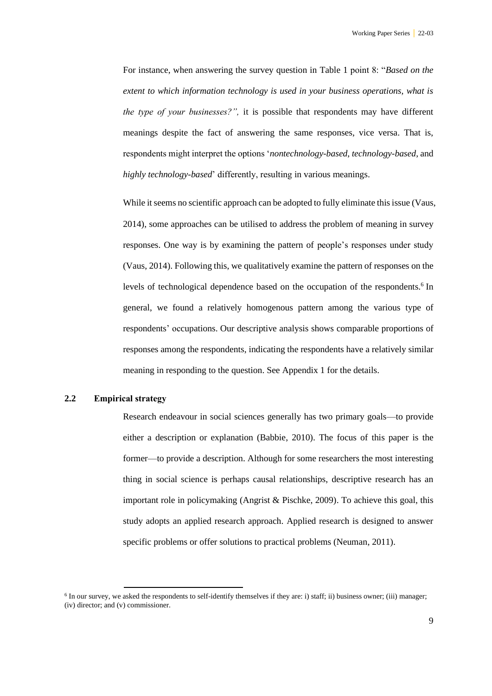For instance, when answering the survey question in [Table 1](#page-7-0) point 8: "*Based on the extent to which information technology is used in your business operations, what is the type of your businesses?",* it is possible that respondents may have different meanings despite the fact of answering the same responses, vice versa. That is, respondents might interpret the options '*nontechnology-based*, *technology-based*, and *highly technology-based*' differently, resulting in various meanings.

While it seems no scientific approach can be adopted to fully eliminate this issue (Vaus, 2014), some approaches can be utilised to address the problem of meaning in survey responses. One way is by examining the pattern of people's responses under study (Vaus, 2014). Following this, we qualitatively examine the pattern of responses on the levels of technological dependence based on the occupation of the respondents.<sup>6</sup> In general, we found a relatively homogenous pattern among the various type of respondents' occupations. Our descriptive analysis shows comparable proportions of responses among the respondents, indicating the respondents have a relatively similar meaning in responding to the question. See Appendix 1 for the details.

#### **2.2 Empirical strategy**

Research endeavour in social sciences generally has two primary goals—to provide either a description or explanation (Babbie, 2010). The focus of this paper is the former—to provide a description. Although for some researchers the most interesting thing in social science is perhaps causal relationships, descriptive research has an important role in policymaking (Angrist & Pischke, 2009). To achieve this goal, this study adopts an applied research approach. Applied research is designed to answer specific problems or offer solutions to practical problems (Neuman, 2011).

 $6$  In our survey, we asked the respondents to self-identify themselves if they are: i) staff; ii) business owner; (iii) manager; (iv) director; and (v) commissioner.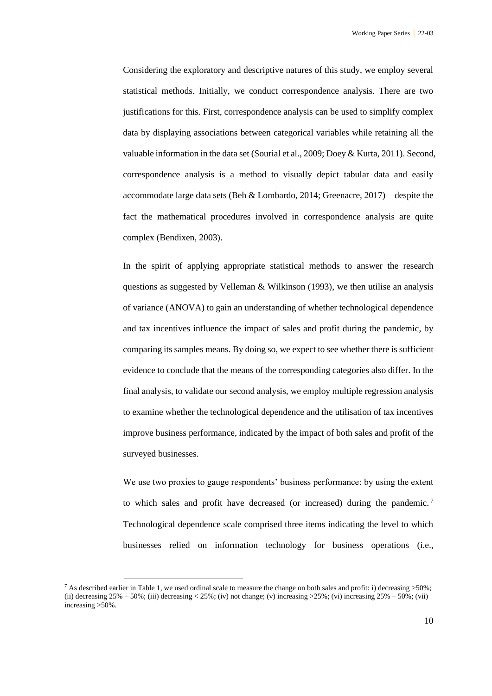Considering the exploratory and descriptive natures of this study, we employ several statistical methods. Initially, we conduct correspondence analysis. There are two justifications for this. First, correspondence analysis can be used to simplify complex data by displaying associations between categorical variables while retaining all the valuable information in the data set (Sourial et al., 2009; Doey & Kurta, 2011). Second, correspondence analysis is a method to visually depict tabular data and easily accommodate large data sets (Beh & Lombardo, 2014; Greenacre, 2017)—despite the fact the mathematical procedures involved in correspondence analysis are quite complex (Bendixen, 2003).

In the spirit of applying appropriate statistical methods to answer the research questions as suggested by Velleman & Wilkinson (1993), we then utilise an analysis of variance (ANOVA) to gain an understanding of whether technological dependence and tax incentives influence the impact of sales and profit during the pandemic, by comparing its samples means. By doing so, we expect to see whether there is sufficient evidence to conclude that the means of the corresponding categories also differ. In the final analysis, to validate our second analysis, we employ multiple regression analysis to examine whether the technological dependence and the utilisation of tax incentives improve business performance, indicated by the impact of both sales and profit of the surveyed businesses.

We use two proxies to gauge respondents' business performance: by using the extent to which sales and profit have decreased (or increased) during the pandemic. <sup>7</sup> Technological dependence scale comprised three items indicating the level to which businesses relied on information technology for business operations (i.e.,

<sup>&</sup>lt;sup>7</sup> As described earlier in [Table 1,](#page-7-0) we used ordinal scale to measure the change on both sales and profit: i) decreasing  $>50\%$ ; (ii) decreasing  $25\% - 50\%$ ; (iii) decreasing <  $25\%$ ; (iv) not change; (v) increasing  $>25\%$ ; (vi) increasing  $25\% - 50\%$ ; (vii) increasing >50%.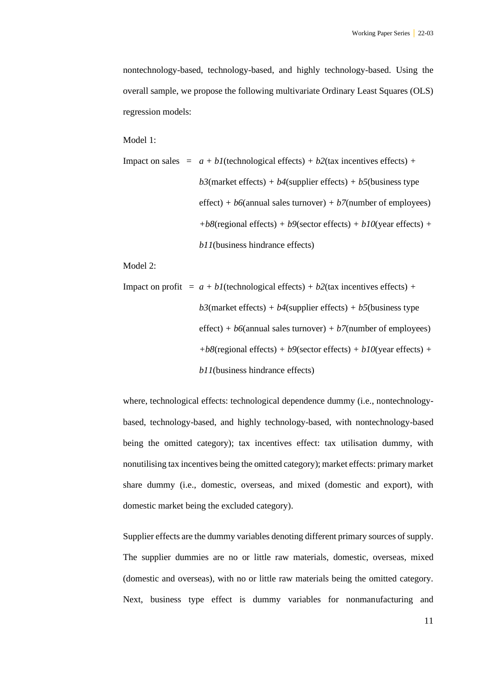nontechnology-based, technology-based, and highly technology-based. Using the overall sample, we propose the following multivariate Ordinary Least Squares (OLS) regression models:

Model 1:

\n Impact on sales = 
$$
a + bl
$$
 (technological effects) +  $b^2$  (tax incentives effects) +  $b^3$  (market effects) +  $b^4$  (supplier effects) +  $b^5$  (business type effect) +  $b^6$  (annual sales turnover) +  $b^7$  (number of employees) +  $b^8$  (regional effects) +  $b^9$  (sector effects) +  $b^10$  (year effects) +  $b^11$  (business hindrance effects)\n

Model 2:

\n Impact on profit = 
$$
a + bl
$$
 (technological effects) +  $b2$  (tax incentives effects) +  $b3$  (market effects) +  $b4$  (supplier effects) +  $b5$  (business type effect) +  $b6$  (annual sales turnover) +  $b7$  (number of employees) +  $b8$  (regional effects) +  $b9$  (sector effects) +  $b10$  (year effects) +  $b11$  (business hindrance effects)\n

where, technological effects: technological dependence dummy (i.e., nontechnologybased, technology-based, and highly technology-based, with nontechnology-based being the omitted category); tax incentives effect: tax utilisation dummy, with nonutilising tax incentives being the omitted category); market effects: primary market share dummy (i.e., domestic, overseas, and mixed (domestic and export), with domestic market being the excluded category).

Supplier effects are the dummy variables denoting different primary sources of supply. The supplier dummies are no or little raw materials, domestic, overseas, mixed (domestic and overseas), with no or little raw materials being the omitted category. Next, business type effect is dummy variables for nonmanufacturing and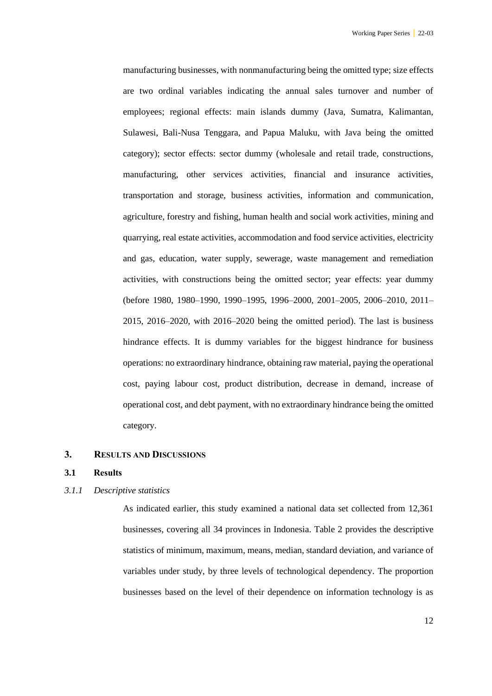manufacturing businesses, with nonmanufacturing being the omitted type; size effects are two ordinal variables indicating the annual sales turnover and number of employees; regional effects: main islands dummy (Java, Sumatra, Kalimantan, Sulawesi, Bali-Nusa Tenggara, and Papua Maluku, with Java being the omitted category); sector effects: sector dummy (wholesale and retail trade, constructions, manufacturing, other services activities, financial and insurance activities, transportation and storage, business activities, information and communication, agriculture, forestry and fishing, human health and social work activities, mining and quarrying, real estate activities, accommodation and food service activities, electricity and gas, education, water supply, sewerage, waste management and remediation activities, with constructions being the omitted sector; year effects: year dummy (before 1980, 1980–1990, 1990–1995, 1996–2000, 2001–2005, 2006–2010, 2011– 2015, 2016–2020, with 2016–2020 being the omitted period). The last is business hindrance effects. It is dummy variables for the biggest hindrance for business operations: no extraordinary hindrance, obtaining raw material, paying the operational cost, paying labour cost, product distribution, decrease in demand, increase of operational cost, and debt payment, with no extraordinary hindrance being the omitted category.

#### **3. RESULTS AND DISCUSSIONS**

#### **3.1 Results**

#### *3.1.1 Descriptive statistics*

As indicated earlier, this study examined a national data set collected from 12,361 businesses, covering all 34 provinces in Indonesia. Table 2 provides the descriptive statistics of minimum, maximum, means, median, standard deviation, and variance of variables under study, by three levels of technological dependency. The proportion businesses based on the level of their dependence on information technology is as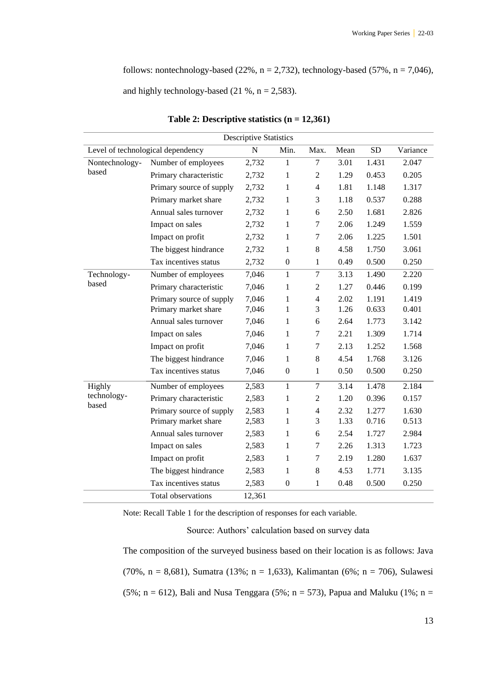follows: nontechnology-based (22%,  $n = 2,732$ ), technology-based (57%,  $n = 7,046$ ),

and highly technology-based  $(21 \%, n = 2,583)$ .

| <b>Descriptive Statistics</b> |                                   |           |                  |                |      |           |          |  |
|-------------------------------|-----------------------------------|-----------|------------------|----------------|------|-----------|----------|--|
|                               | Level of technological dependency | ${\bf N}$ | Min.             | Max.           | Mean | <b>SD</b> | Variance |  |
| Nontechnology-<br>based       | Number of employees               | 2,732     | 1                | 7              | 3.01 | 1.431     | 2.047    |  |
|                               | Primary characteristic            | 2,732     | 1                | $\mathfrak{2}$ | 1.29 | 0.453     | 0.205    |  |
|                               | Primary source of supply          | 2,732     | 1                | $\overline{4}$ | 1.81 | 1.148     | 1.317    |  |
|                               | Primary market share              | 2,732     | $\mathbf{1}$     | 3              | 1.18 | 0.537     | 0.288    |  |
|                               | Annual sales turnover             | 2,732     | $\mathbf{1}$     | 6              | 2.50 | 1.681     | 2.826    |  |
|                               | Impact on sales                   | 2,732     | $\mathbf{1}$     | 7              | 2.06 | 1.249     | 1.559    |  |
|                               | Impact on profit                  | 2,732     | $\mathbf{1}$     | $\tau$         | 2.06 | 1.225     | 1.501    |  |
|                               | The biggest hindrance             | 2,732     | 1                | 8              | 4.58 | 1.750     | 3.061    |  |
|                               | Tax incentives status             | 2,732     | $\boldsymbol{0}$ | $\mathbf{1}$   | 0.49 | 0.500     | 0.250    |  |
| Technology-                   | Number of employees               | 7,046     | $\mathbf{1}$     | $\overline{7}$ | 3.13 | 1.490     | 2.220    |  |
| based                         | Primary characteristic            | 7,046     | 1                | 2              | 1.27 | 0.446     | 0.199    |  |
|                               | Primary source of supply          | 7,046     | $\mathbf{1}$     | $\overline{4}$ | 2.02 | 1.191     | 1.419    |  |
|                               | Primary market share              | 7,046     | $\mathbf{1}$     | 3              | 1.26 | 0.633     | 0.401    |  |
|                               | Annual sales turnover             | 7,046     | 1                | 6              | 2.64 | 1.773     | 3.142    |  |
|                               | Impact on sales                   | 7,046     | 1                | $\overline{7}$ | 2.21 | 1.309     | 1.714    |  |
|                               | Impact on profit                  | 7,046     | 1                | 7              | 2.13 | 1.252     | 1.568    |  |
|                               | The biggest hindrance             | 7,046     | 1                | 8              | 4.54 | 1.768     | 3.126    |  |
|                               | Tax incentives status             | 7,046     | $\boldsymbol{0}$ | $\mathbf{1}$   | 0.50 | 0.500     | 0.250    |  |
| Highly                        | Number of employees               | 2,583     | $\mathbf{1}$     | $\overline{7}$ | 3.14 | 1.478     | 2.184    |  |
| technology-                   | Primary characteristic            | 2,583     | $\mathbf{1}$     | $\mathfrak{2}$ | 1.20 | 0.396     | 0.157    |  |
| based                         | Primary source of supply          | 2,583     | $\mathbf{1}$     | $\overline{4}$ | 2.32 | 1.277     | 1.630    |  |
|                               | Primary market share              | 2,583     | 1                | 3              | 1.33 | 0.716     | 0.513    |  |
|                               | Annual sales turnover             | 2,583     | $\mathbf{1}$     | 6              | 2.54 | 1.727     | 2.984    |  |
|                               | Impact on sales                   | 2,583     | $\mathbf{1}$     | 7              | 2.26 | 1.313     | 1.723    |  |
|                               | Impact on profit                  | 2,583     | 1                | 7              | 2.19 | 1.280     | 1.637    |  |
|                               | The biggest hindrance             | 2,583     | 1                | 8              | 4.53 | 1.771     | 3.135    |  |
|                               | Tax incentives status             | 2,583     | $\boldsymbol{0}$ | $\mathbf{1}$   | 0.48 | 0.500     | 0.250    |  |
|                               | Total observations                | 12,361    |                  |                |      |           |          |  |

|  | Table 2: Descriptive statistics $(n = 12,361)$ |  |  |  |
|--|------------------------------------------------|--|--|--|
|--|------------------------------------------------|--|--|--|

Note: Recal[l Table 1](#page-7-0) for the description of responses for each variable.

Source: Authors' calculation based on survey data

The composition of the surveyed business based on their location is as follows: Java (70%, n = 8,681), Sumatra (13%; n = 1,633), Kalimantan (6%; n = 706), Sulawesi (5%; n = 612), Bali and Nusa Tenggara (5%; n = 573), Papua and Maluku (1%; n =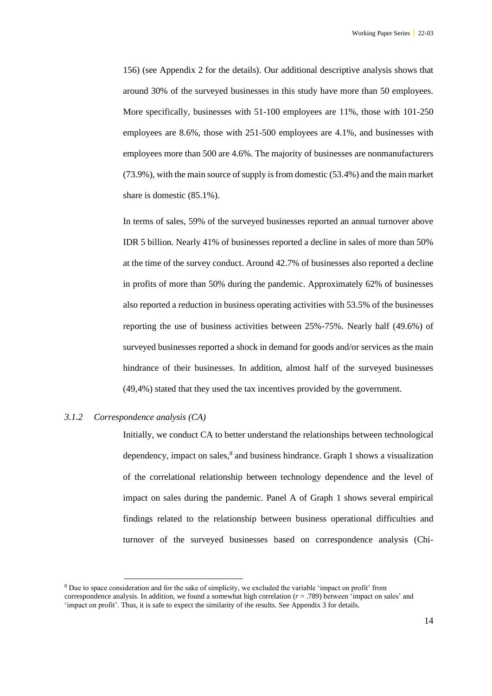156) (see Appendix 2 for the details). Our additional descriptive analysis shows that around 30% of the surveyed businesses in this study have more than 50 employees. More specifically, businesses with 51-100 employees are 11%, those with 101-250 employees are 8.6%, those with 251-500 employees are 4.1%, and businesses with employees more than 500 are 4.6%. The majority of businesses are nonmanufacturers (73.9%), with the main source of supply is from domestic (53.4%) and the main market share is domestic (85.1%).

In terms of sales, 59% of the surveyed businesses reported an annual turnover above IDR 5 billion. Nearly 41% of businesses reported a decline in sales of more than 50% at the time of the survey conduct. Around 42.7% of businesses also reported a decline in profits of more than 50% during the pandemic. Approximately 62% of businesses also reported a reduction in business operating activities with 53.5% of the businesses reporting the use of business activities between 25%-75%. Nearly half (49.6%) of surveyed businesses reported a shock in demand for goods and/or services as the main hindrance of their businesses. In addition, almost half of the surveyed businesses (49,4%) stated that they used the tax incentives provided by the government.

#### *3.1.2 Correspondence analysis (CA)*

Initially, we conduct CA to better understand the relationships between technological dependency, impact on sales, $<sup>8</sup>$  and business hindrance. Graph 1 shows a visualization</sup> of the correlational relationship between technology dependence and the level of impact on sales during the pandemic. Panel A of Graph 1 shows several empirical findings related to the relationship between business operational difficulties and turnover of the surveyed businesses based on correspondence analysis (Chi-

<sup>8</sup> Due to space consideration and for the sake of simplicity, we excluded the variable 'impact on profit' from correspondence analysis. In addition, we found a somewhat high correlation (*r* = .789) between 'impact on sales' and 'impact on profit'. Thus, it is safe to expect the similarity of the results. See Appendix 3 for details.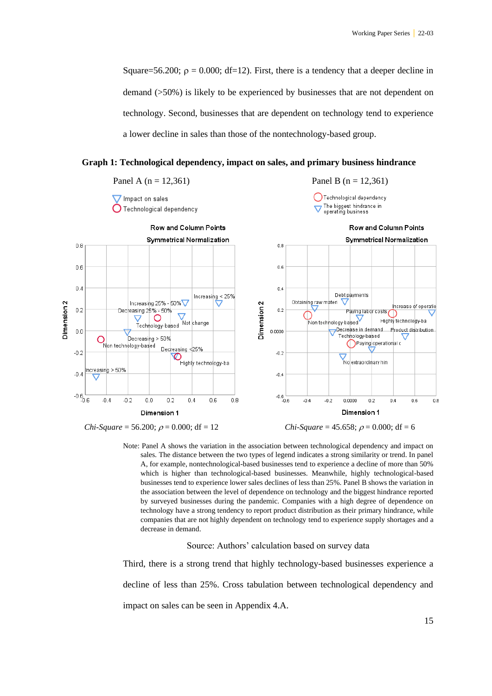Square=56.200;  $\rho = 0.000$ ; df=12). First, there is a tendency that a deeper decline in demand (>50%) is likely to be experienced by businesses that are not dependent on technology. Second, businesses that are dependent on technology tend to experience a lower decline in sales than those of the nontechnology-based group.

**Graph 1: Technological dependency, impact on sales, and primary business hindrance**



Note: Panel A shows the variation in the association between technological dependency and impact on sales. The distance between the two types of legend indicates a strong similarity or trend. In panel A, for example, nontechnological-based businesses tend to experience a decline of more than 50% which is higher than technological-based businesses. Meanwhile, highly technological-based businesses tend to experience lower sales declines of less than 25%. Panel B shows the variation in the association between the level of dependence on technology and the biggest hindrance reported by surveyed businesses during the pandemic. Companies with a high degree of dependence on technology have a strong tendency to report product distribution as their primary hindrance, while companies that are not highly dependent on technology tend to experience supply shortages and a decrease in demand.

Source: Authors' calculation based on survey data

Third, there is a strong trend that highly technology-based businesses experience a decline of less than 25%. Cross tabulation between technological dependency and impact on sales can be seen in Appendix 4.A.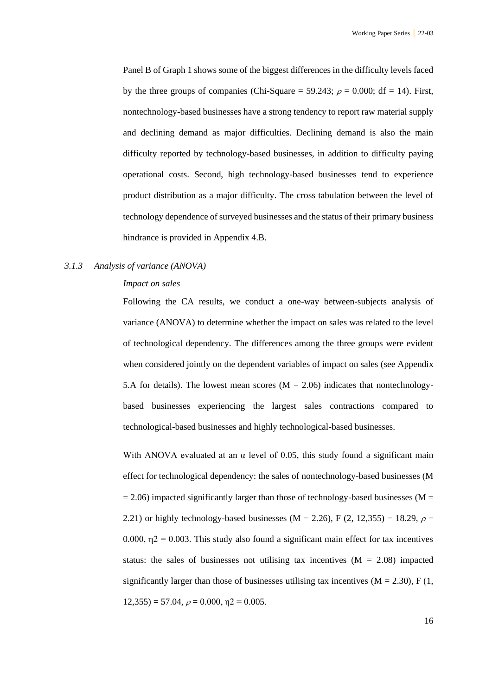Panel B of Graph 1 shows some of the biggest differences in the difficulty levels faced by the three groups of companies (Chi-Square = 59.243;  $\rho = 0.000$ ; df = 14). First, nontechnology-based businesses have a strong tendency to report raw material supply and declining demand as major difficulties. Declining demand is also the main difficulty reported by technology-based businesses, in addition to difficulty paying operational costs. Second, high technology-based businesses tend to experience product distribution as a major difficulty. The cross tabulation between the level of technology dependence of surveyed businesses and the status of their primary business hindrance is provided in Appendix 4.B.

#### *3.1.3 Analysis of variance (ANOVA)*

#### *Impact on sales*

Following the CA results, we conduct a one-way between-subjects analysis of variance (ANOVA) to determine whether the impact on sales was related to the level of technological dependency. The differences among the three groups were evident when considered jointly on the dependent variables of impact on sales (see Appendix 5.A for details). The lowest mean scores  $(M = 2.06)$  indicates that nontechnologybased businesses experiencing the largest sales contractions compared to technological-based businesses and highly technological-based businesses.

With ANOVA evaluated at an  $\alpha$  level of 0.05, this study found a significant main effect for technological dependency: the sales of nontechnology-based businesses (M  $= 2.06$ ) impacted significantly larger than those of technology-based businesses (M = 2.21) or highly technology-based businesses (M = 2.26), F (2, 12,355) = 18.29,  $\rho$  = 0.000,  $\eta$ 2 = 0.003. This study also found a significant main effect for tax incentives status: the sales of businesses not utilising tax incentives  $(M = 2.08)$  impacted significantly larger than those of businesses utilising tax incentives  $(M = 2.30)$ , F (1,  $12,355$ ) = 57.04,  $\rho = 0.000$ ,  $n2 = 0.005$ .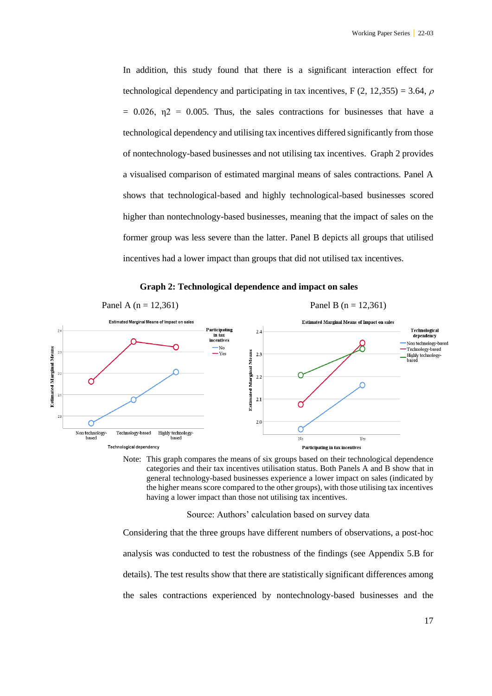In addition, this study found that there is a significant interaction effect for technological dependency and participating in tax incentives, F (2, 12,355) = 3.64,  $\rho$  $= 0.026$ ,  $\eta$   $= 0.005$ . Thus, the sales contractions for businesses that have a technological dependency and utilising tax incentives differed significantly from those of nontechnology-based businesses and not utilising tax incentives. Graph 2 provides a visualised comparison of estimated marginal means of sales contractions. Panel A shows that technological-based and highly technological-based businesses scored higher than nontechnology-based businesses, meaning that the impact of sales on the former group was less severe than the latter. Panel B depicts all groups that utilised incentives had a lower impact than groups that did not utilised tax incentives.



**Estimated Marginal Means** 

Technological dependency

#### **Graph 2: Technological dependence and impact on sales**

Note: This graph compares the means of six groups based on their technological dependence categories and their tax incentives utilisation status. Both Panels A and B show that in general technology-based businesses experience a lower impact on sales (indicated by the higher means score compared to the other groups), with those utilising tax incentives having a lower impact than those not utilising tax incentives.

Participating in tax incentives

Source: Authors' calculation based on survey data

Considering that the three groups have different numbers of observations, a post-hoc analysis was conducted to test the robustness of the findings (see Appendix 5.B for details). The test results show that there are statistically significant differences among the sales contractions experienced by nontechnology-based businesses and the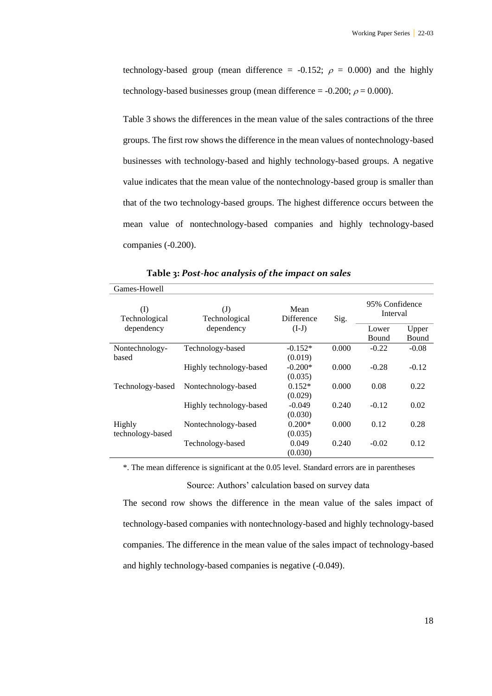technology-based group (mean difference = -0.152;  $\rho = 0.000$ ) and the highly technology-based businesses group (mean difference = -0.200;  $\rho$  = 0.000).

Table 3 shows the differences in the mean value of the sales contractions of the three groups. The first row shows the difference in the mean values of nontechnology-based businesses with technology-based and highly technology-based groups. A negative value indicates that the mean value of the nontechnology-based group is smaller than that of the two technology-based groups. The highest difference occurs between the mean value of nontechnology-based companies and highly technology-based companies (-0.200).

| Games-Howell         |                               |                    |       |                            |                |
|----------------------|-------------------------------|--------------------|-------|----------------------------|----------------|
| (I)<br>Technological | $\mathrm{J}$<br>Technological | Mean<br>Difference | Sig.  | 95% Confidence<br>Interval |                |
| dependency           | dependency                    | $(I-J)$            |       | Lower<br><b>Bound</b>      | Upper<br>Bound |
| Nontechnology-       | Technology-based              | $-0.152*$          | 0.000 | $-0.22$                    | $-0.08$        |
| based                |                               | (0.019)            |       |                            |                |
|                      | Highly technology-based       | $-0.200*$          | 0.000 | $-0.28$                    | $-0.12$        |
|                      |                               | (0.035)            |       |                            |                |
| Technology-based     | Nontechnology-based           | $0.152*$           | 0.000 | 0.08                       | 0.22           |
|                      |                               | (0.029)            |       |                            |                |
|                      | Highly technology-based       | $-0.049$           | 0.240 | $-0.12$                    | 0.02           |
|                      |                               | (0.030)            |       |                            |                |
| Highly               | Nontechnology-based           | $0.200*$           | 0.000 | 0.12                       | 0.28           |
| technology-based     |                               | (0.035)            |       |                            |                |
|                      | Technology-based              | 0.049              | 0.240 | $-0.02$                    | 0.12           |
|                      |                               | (0.030)            |       |                            |                |

**Table 3:** *Post-hoc analysis of the impact on sales*

\*. The mean difference is significant at the 0.05 level. Standard errors are in parentheses

Source: Authors' calculation based on survey data

The second row shows the difference in the mean value of the sales impact of technology-based companies with nontechnology-based and highly technology-based companies. The difference in the mean value of the sales impact of technology-based and highly technology-based companies is negative (-0.049).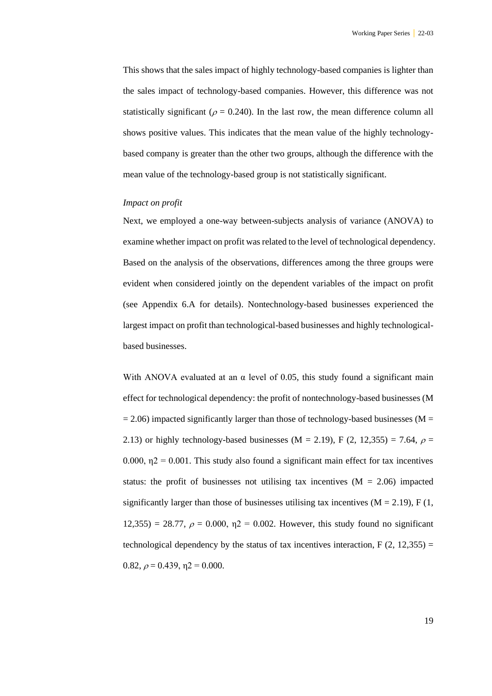This shows that the sales impact of highly technology-based companies is lighter than the sales impact of technology-based companies. However, this difference was not statistically significant ( $\rho = 0.240$ ). In the last row, the mean difference column all shows positive values. This indicates that the mean value of the highly technologybased company is greater than the other two groups, although the difference with the mean value of the technology-based group is not statistically significant.

#### *Impact on profit*

Next, we employed a one-way between-subjects analysis of variance (ANOVA) to examine whether impact on profit was related to the level of technological dependency. Based on the analysis of the observations, differences among the three groups were evident when considered jointly on the dependent variables of the impact on profit (see Appendix 6.A for details). Nontechnology-based businesses experienced the largest impact on profit than technological-based businesses and highly technologicalbased businesses.

With ANOVA evaluated at an  $\alpha$  level of 0.05, this study found a significant main effect for technological dependency: the profit of nontechnology-based businesses (M  $= 2.06$ ) impacted significantly larger than those of technology-based businesses (M  $=$ 2.13) or highly technology-based businesses (M = 2.19), F (2, 12,355) = 7.64,  $\rho$  = 0.000,  $n2 = 0.001$ . This study also found a significant main effect for tax incentives status: the profit of businesses not utilising tax incentives  $(M = 2.06)$  impacted significantly larger than those of businesses utilising tax incentives  $(M = 2.19)$ , F (1, 12,355) = 28.77,  $\rho = 0.000$ ,  $\eta$ 2 = 0.002. However, this study found no significant technological dependency by the status of tax incentives interaction,  $F(2, 12, 355) =$ 0.82,  $\rho = 0.439$ ,  $\eta = 0.000$ .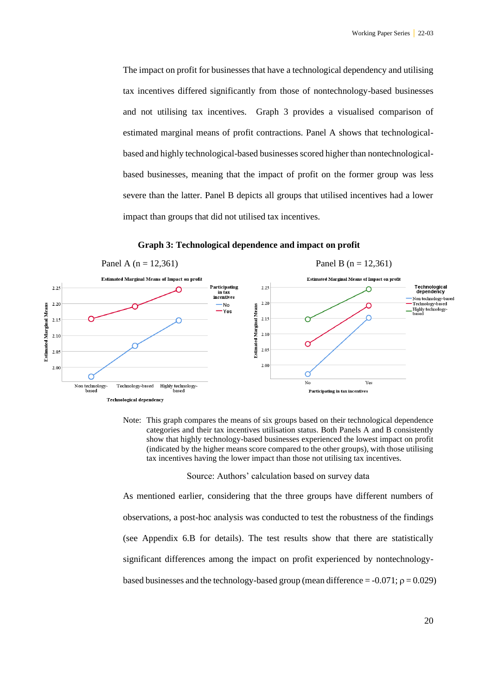The impact on profit for businesses that have a technological dependency and utilising tax incentives differed significantly from those of nontechnology-based businesses and not utilising tax incentives. Graph 3 provides a visualised comparison of estimated marginal means of profit contractions. Panel A shows that technologicalbased and highly technological-based businesses scored higher than nontechnologicalbased businesses, meaning that the impact of profit on the former group was less severe than the latter. Panel B depicts all groups that utilised incentives had a lower impact than groups that did not utilised tax incentives.

**Graph 3: Technological dependence and impact on profit**



Note: This graph compares the means of six groups based on their technological dependence categories and their tax incentives utilisation status. Both Panels A and B consistently show that highly technology-based businesses experienced the lowest impact on profit (indicated by the higher means score compared to the other groups), with those utilising tax incentives having the lower impact than those not utilising tax incentives.

Source: Authors' calculation based on survey data

As mentioned earlier, considering that the three groups have different numbers of observations, a post-hoc analysis was conducted to test the robustness of the findings (see Appendix 6.B for details). The test results show that there are statistically significant differences among the impact on profit experienced by nontechnologybased businesses and the technology-based group (mean difference  $= -0.071$ ;  $\rho = 0.029$ )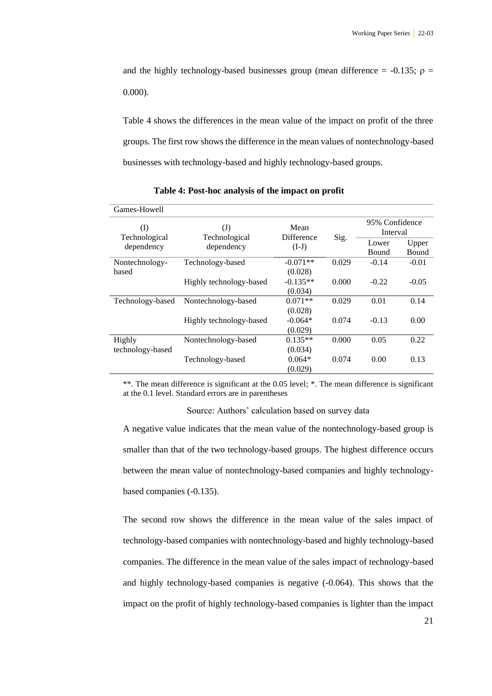and the highly technology-based businesses group (mean difference =  $-0.135$ ;  $\rho$  = 0.000).

Table 4 shows the differences in the mean value of the impact on profit of the three groups. The first row shows the difference in the mean values of nontechnology-based businesses with technology-based and highly technology-based groups.

| Games-Howell         |                               |                                  |       |                            |                |  |
|----------------------|-------------------------------|----------------------------------|-------|----------------------------|----------------|--|
| (I)<br>Technological | $\mathrm{J}$<br>Technological | Mean<br><b>Difference</b>        |       | 95% Confidence<br>Interval |                |  |
| dependency           | dependency                    | $(I-J)$                          | Sig.  | Lower<br>Bound             | Upper<br>Bound |  |
| Nontechnology-       | Technology-based              | $-0.071**$                       | 0.029 | $-0.14$                    | $-0.01$        |  |
| based                | Highly technology-based       | (0.028)<br>$-0.135**$<br>(0.034) | 0.000 | $-0.22$                    | $-0.05$        |  |
| Technology-based     | Nontechnology-based           | $0.071**$                        | 0.029 | 0.01                       | 0.14           |  |
|                      | Highly technology-based       | (0.028)<br>$-0.064*$<br>(0.029)  | 0.074 | $-0.13$                    | 0.00           |  |
| Highly               | Nontechnology-based           | $0.135**$                        | 0.000 | 0.05                       | 0.22           |  |
| technology-based     | Technology-based              | (0.034)<br>$0.064*$<br>(0.029)   | 0.074 | 0.00                       | 0.13           |  |

**Table 4: Post-hoc analysis of the impact on profit**

\*\*. The mean difference is significant at the 0.05 level; \*. The mean difference is significant at the 0.1 level. Standard errors are in parentheses

Source: Authors' calculation based on survey data

A negative value indicates that the mean value of the nontechnology-based group is smaller than that of the two technology-based groups. The highest difference occurs between the mean value of nontechnology-based companies and highly technologybased companies (-0.135).

The second row shows the difference in the mean value of the sales impact of technology-based companies with nontechnology-based and highly technology-based companies. The difference in the mean value of the sales impact of technology-based and highly technology-based companies is negative (-0.064). This shows that the impact on the profit of highly technology-based companies is lighter than the impact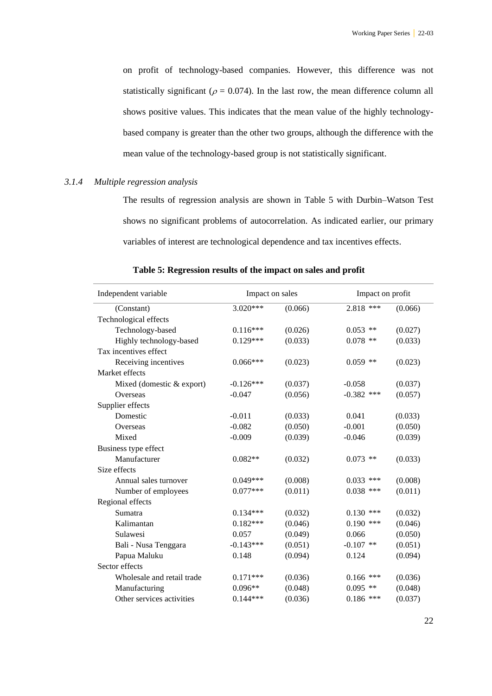on profit of technology-based companies. However, this difference was not statistically significant ( $\rho = 0.074$ ). In the last row, the mean difference column all shows positive values. This indicates that the mean value of the highly technologybased company is greater than the other two groups, although the difference with the mean value of the technology-based group is not statistically significant.

#### *3.1.4 Multiple regression analysis*

The results of regression analysis are shown in [Table 5](#page-21-0) with Durbin–Watson Test shows no significant problems of autocorrelation. As indicated earlier, our primary variables of interest are technological dependence and tax incentives effects.

|                 | Table 5: Regression results of the impact on sales and profit |                |
|-----------------|---------------------------------------------------------------|----------------|
| endent variable | Impact on sales                                               | Impact on prof |

<span id="page-21-0"></span>

| Independent variable       |             | Impact on sales<br>Impact on profit |              |         |  |
|----------------------------|-------------|-------------------------------------|--------------|---------|--|
| (Constant)                 | $3.020***$  | (0.066)                             | 2.818 ***    | (0.066) |  |
| Technological effects      |             |                                     |              |         |  |
| Technology-based           | $0.116***$  | (0.026)                             | $0.053$ **   | (0.027) |  |
| Highly technology-based    | $0.129***$  | (0.033)                             | $0.078$ **   | (0.033) |  |
| Tax incentives effect      |             |                                     |              |         |  |
| Receiving incentives       | $0.066***$  | (0.023)                             | $0.059$ **   | (0.023) |  |
| Market effects             |             |                                     |              |         |  |
| Mixed (domestic & export)  | $-0.126***$ | (0.037)                             | $-0.058$     | (0.037) |  |
| Overseas                   | $-0.047$    | (0.056)                             | $-0.382$ *** | (0.057) |  |
| Supplier effects           |             |                                     |              |         |  |
| Domestic                   | $-0.011$    | (0.033)                             | 0.041        | (0.033) |  |
| Overseas                   | $-0.082$    | (0.050)                             | $-0.001$     | (0.050) |  |
| Mixed                      | $-0.009$    | (0.039)                             | $-0.046$     | (0.039) |  |
| Business type effect       |             |                                     |              |         |  |
| Manufacturer               | $0.082**$   | (0.032)                             | $0.073$ **   | (0.033) |  |
| Size effects               |             |                                     |              |         |  |
| Annual sales turnover      | $0.049***$  | (0.008)                             | $0.033$ ***  | (0.008) |  |
| Number of employees        | $0.077***$  | (0.011)                             | $0.038$ ***  | (0.011) |  |
| Regional effects           |             |                                     |              |         |  |
| Sumatra                    | $0.134***$  | (0.032)                             | $0.130$ ***  | (0.032) |  |
| Kalimantan                 | $0.182***$  | (0.046)                             | $0.190$ ***  | (0.046) |  |
| Sulawesi                   | 0.057       | (0.049)                             | 0.066        | (0.050) |  |
| Bali - Nusa Tenggara       | $-0.143***$ | (0.051)                             | $-0.107$ **  | (0.051) |  |
| Papua Maluku               | 0.148       | (0.094)                             | 0.124        | (0.094) |  |
| Sector effects             |             |                                     |              |         |  |
| Wholesale and retail trade | $0.171***$  | (0.036)                             | $0.166$ ***  | (0.036) |  |
| Manufacturing              | $0.096**$   | (0.048)                             | $0.095$ **   | (0.048) |  |
| Other services activities  | $0.144***$  | (0.036)                             | $0.186$ ***  | (0.037) |  |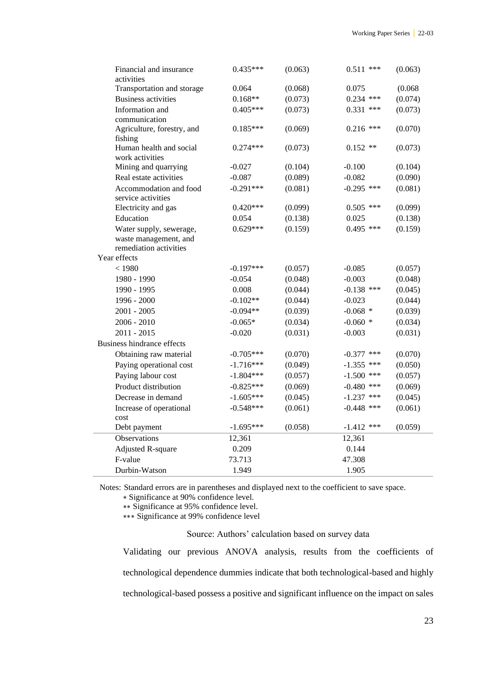| Financial and insurance<br>activities           | 0.435***    | (0.063) | $0.511$ ***  | (0.063) |
|-------------------------------------------------|-------------|---------|--------------|---------|
| Transportation and storage                      | 0.064       | (0.068) | 0.075        | (0.068) |
| <b>Business activities</b>                      | $0.168**$   | (0.073) | $0.234$ ***  | (0.074) |
| Information and                                 | $0.405***$  | (0.073) | $0.331$ ***  | (0.073) |
| communication                                   |             |         |              |         |
| Agriculture, forestry, and                      | $0.185***$  | (0.069) | $0.216$ ***  | (0.070) |
| fishing                                         |             |         |              |         |
| Human health and social                         | $0.274***$  | (0.073) | $0.152$ **   | (0.073) |
| work activities                                 |             |         |              |         |
| Mining and quarrying                            | $-0.027$    | (0.104) | $-0.100$     | (0.104) |
| Real estate activities                          | $-0.087$    | (0.089) | $-0.082$     | (0.090) |
| Accommodation and food                          | $-0.291***$ | (0.081) | $-0.295$ *** | (0.081) |
| service activities                              |             |         |              |         |
| Electricity and gas                             | $0.420***$  | (0.099) | $0.505$ ***  | (0.099) |
| Education                                       | 0.054       | (0.138) | 0.025        | (0.138) |
| Water supply, sewerage,                         | $0.629***$  | (0.159) | $0.495$ ***  | (0.159) |
| waste management, and<br>remediation activities |             |         |              |         |
| Year effects                                    |             |         |              |         |
| < 1980                                          | $-0.197***$ | (0.057) | $-0.085$     | (0.057) |
| 1980 - 1990                                     | $-0.054$    | (0.048) | $-0.003$     | (0.048) |
| 1990 - 1995                                     | 0.008       | (0.044) | $-0.138$ *** | (0.045) |
| 1996 - 2000                                     | $-0.102**$  | (0.044) | $-0.023$     | (0.044) |
| $2001 - 2005$                                   | $-0.094**$  | (0.039) | $-0.068$ *   | (0.039) |
| $2006 - 2010$                                   | $-0.065*$   |         | $-0.060$ *   | (0.034) |
| $2011 - 2015$                                   |             | (0.034) |              |         |
|                                                 | $-0.020$    | (0.031) | $-0.003$     | (0.031) |
| <b>Business hindrance effects</b>               |             |         |              |         |
| Obtaining raw material                          | $-0.705***$ | (0.070) | $-0.377$ *** | (0.070) |
| Paying operational cost                         | $-1.716***$ | (0.049) | $-1.355$ *** | (0.050) |
| Paying labour cost                              | $-1.804***$ | (0.057) | $-1.500$ *** | (0.057) |
| Product distribution                            | $-0.825***$ | (0.069) | $-0.480$ *** | (0.069) |
| Decrease in demand                              | $-1.605***$ | (0.045) | $-1.237$ *** | (0.045) |
| Increase of operational                         | $-0.548***$ | (0.061) | $-0.448$ *** | (0.061) |
| cost                                            |             |         |              |         |
| Debt payment                                    | $-1.695***$ | (0.058) | $-1.412$ *** | (0.059) |
| Observations                                    | 12,361      |         | 12,361       |         |
| <b>Adjusted R-square</b>                        | 0.209       |         | 0.144        |         |
| F-value                                         | 73.713      |         | 47.308       |         |
| Durbin-Watson                                   | 1.949       |         | 1.905        |         |

Notes: Standard errors are in parentheses and displayed next to the coefficient to save space.

∗ Significance at 90% confidence level.

∗∗ Significance at 95% confidence level.

∗∗∗ Significance at 99% confidence level

Source: Authors' calculation based on survey data

Validating our previous ANOVA analysis, results from the coefficients of technological dependence dummies indicate that both technological-based and highly technological-based possess a positive and significant influence on the impact on sales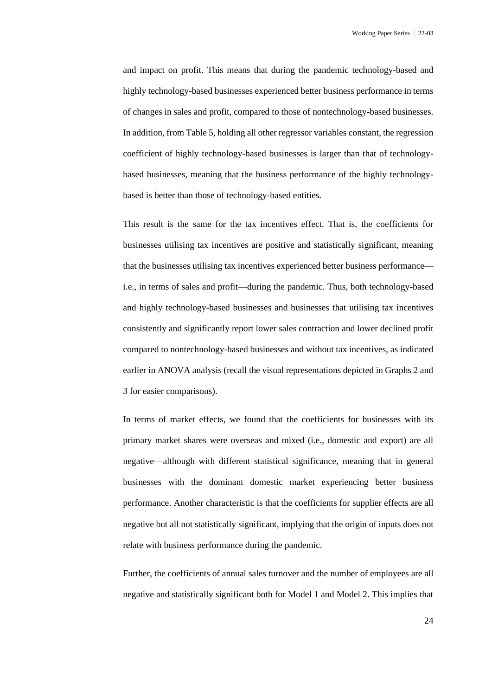and impact on profit. This means that during the pandemic technology-based and highly technology-based businesses experienced better business performance in terms of changes in sales and profit, compared to those of nontechnology-based businesses. In addition, from [Table 5,](#page-21-0) holding all other regressor variables constant, the regression coefficient of highly technology-based businesses is larger than that of technologybased businesses, meaning that the business performance of the highly technologybased is better than those of technology-based entities.

This result is the same for the tax incentives effect. That is, the coefficients for businesses utilising tax incentives are positive and statistically significant, meaning that the businesses utilising tax incentives experienced better business performance i.e., in terms of sales and profit—during the pandemic. Thus, both technology-based and highly technology-based businesses and businesses that utilising tax incentives consistently and significantly report lower sales contraction and lower declined profit compared to nontechnology-based businesses and without tax incentives, as indicated earlier in ANOVA analysis (recall the visual representations depicted in Graphs 2 and 3 for easier comparisons).

In terms of market effects, we found that the coefficients for businesses with its primary market shares were overseas and mixed (i.e., domestic and export) are all negative—although with different statistical significance, meaning that in general businesses with the dominant domestic market experiencing better business performance. Another characteristic is that the coefficients for supplier effects are all negative but all not statistically significant, implying that the origin of inputs does not relate with business performance during the pandemic.

Further, the coefficients of annual sales turnover and the number of employees are all negative and statistically significant both for Model 1 and Model 2. This implies that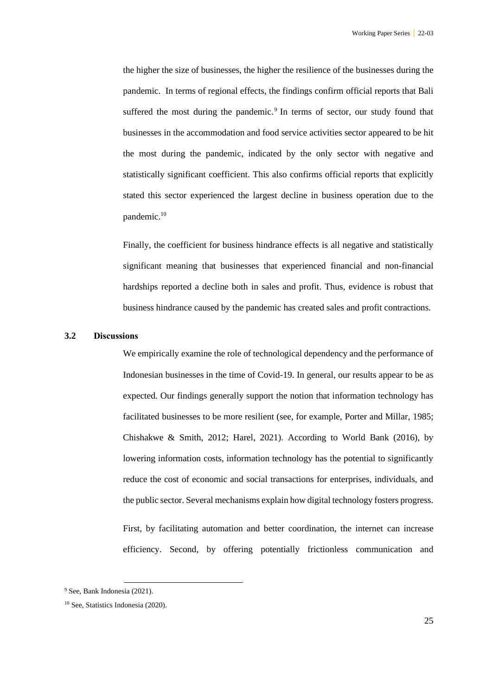the higher the size of businesses, the higher the resilience of the businesses during the pandemic. In terms of regional effects, the findings confirm official reports that Bali suffered the most during the pandemic. $9$  In terms of sector, our study found that businesses in the accommodation and food service activities sector appeared to be hit the most during the pandemic, indicated by the only sector with negative and statistically significant coefficient. This also confirms official reports that explicitly stated this sector experienced the largest decline in business operation due to the pandemic.<sup>10</sup>

Finally, the coefficient for business hindrance effects is all negative and statistically significant meaning that businesses that experienced financial and non-financial hardships reported a decline both in sales and profit. Thus, evidence is robust that business hindrance caused by the pandemic has created sales and profit contractions.

#### **3.2 Discussions**

We empirically examine the role of technological dependency and the performance of Indonesian businesses in the time of Covid-19. In general, our results appear to be as expected. Our findings generally support the notion that information technology has facilitated businesses to be more resilient (see, for example, Porter and Millar, 1985; Chishakwe & Smith, 2012; Harel, 2021). According to World Bank (2016), by lowering information costs, information technology has the potential to significantly reduce the cost of economic and social transactions for enterprises, individuals, and the public sector. Several mechanisms explain how digital technology fosters progress.

First, by facilitating automation and better coordination, the internet can increase efficiency. Second, by offering potentially frictionless communication and

<sup>9</sup> See, Bank Indonesia (2021).

<sup>10</sup> See, Statistics Indonesia (2020).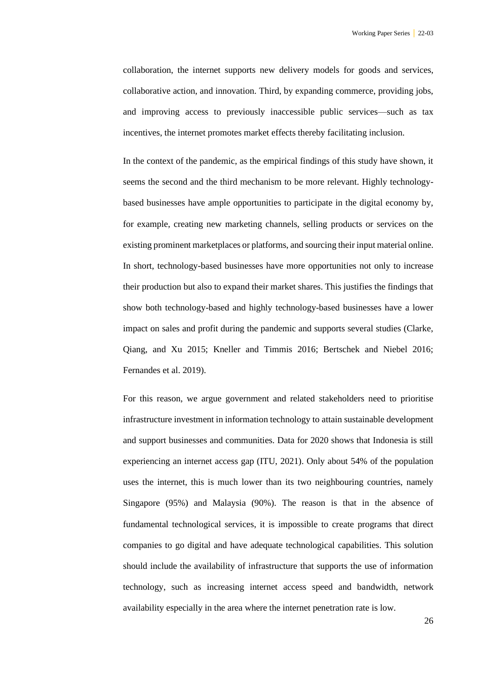collaboration, the internet supports new delivery models for goods and services, collaborative action, and innovation. Third, by expanding commerce, providing jobs, and improving access to previously inaccessible public services—such as tax incentives, the internet promotes market effects thereby facilitating inclusion.

In the context of the pandemic, as the empirical findings of this study have shown, it seems the second and the third mechanism to be more relevant. Highly technologybased businesses have ample opportunities to participate in the digital economy by, for example, creating new marketing channels, selling products or services on the existing prominent marketplaces or platforms, and sourcing their input material online. In short, technology-based businesses have more opportunities not only to increase their production but also to expand their market shares. This justifies the findings that show both technology-based and highly technology-based businesses have a lower impact on sales and profit during the pandemic and supports several studies (Clarke, Qiang, and Xu 2015; Kneller and Timmis 2016; Bertschek and Niebel 2016; Fernandes et al. 2019).

For this reason, we argue government and related stakeholders need to prioritise infrastructure investment in information technology to attain sustainable development and support businesses and communities. Data for 2020 shows that Indonesia is still experiencing an internet access gap (ITU, 2021). Only about 54% of the population uses the internet, this is much lower than its two neighbouring countries, namely Singapore (95%) and Malaysia (90%). The reason is that in the absence of fundamental technological services, it is impossible to create programs that direct companies to go digital and have adequate technological capabilities. This solution should include the availability of infrastructure that supports the use of information technology, such as increasing internet access speed and bandwidth, network availability especially in the area where the internet penetration rate is low.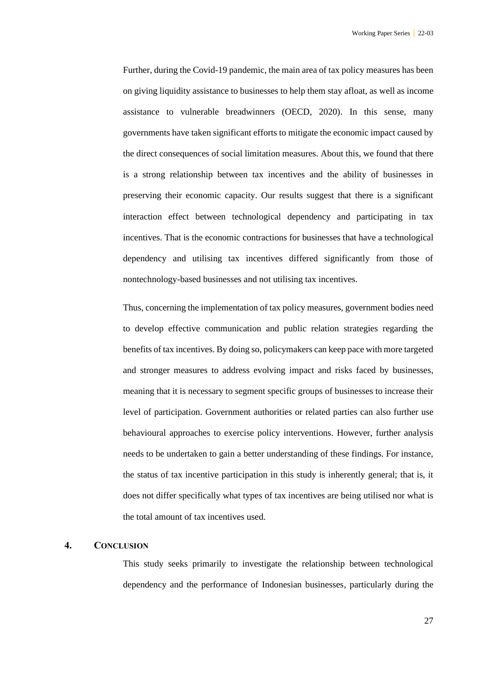Further, during the Covid-19 pandemic, the main area of tax policy measures has been on giving liquidity assistance to businesses to help them stay afloat, as well as income assistance to vulnerable breadwinners (OECD, 2020). In this sense, many governments have taken significant efforts to mitigate the economic impact caused by the direct consequences of social limitation measures. About this, we found that there is a strong relationship between tax incentives and the ability of businesses in preserving their economic capacity. Our results suggest that there is a significant interaction effect between technological dependency and participating in tax incentives. That is the economic contractions for businesses that have a technological dependency and utilising tax incentives differed significantly from those of nontechnology-based businesses and not utilising tax incentives.

Thus, concerning the implementation of tax policy measures, government bodies need to develop effective communication and public relation strategies regarding the benefits of tax incentives. By doing so, policymakers can keep pace with more targeted and stronger measures to address evolving impact and risks faced by businesses, meaning that it is necessary to segment specific groups of businesses to increase their level of participation. Government authorities or related parties can also further use behavioural approaches to exercise policy interventions. However, further analysis needs to be undertaken to gain a better understanding of these findings. For instance, the status of tax incentive participation in this study is inherently general; that is, it does not differ specifically what types of tax incentives are being utilised nor what is the total amount of tax incentives used.

#### **4. CONCLUSION**

This study seeks primarily to investigate the relationship between technological dependency and the performance of Indonesian businesses, particularly during the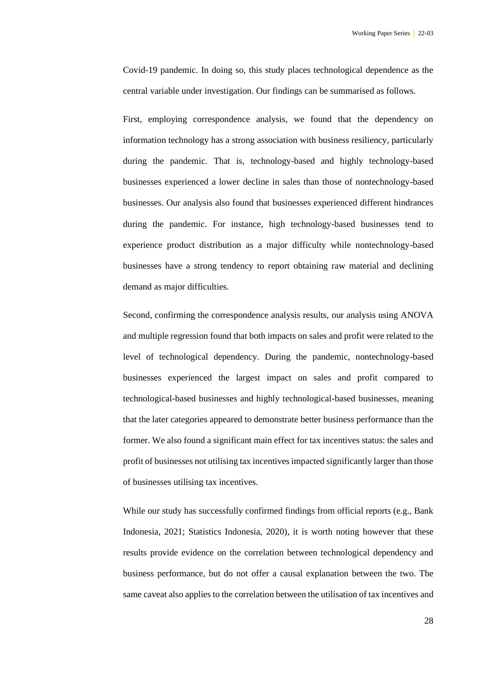Covid-19 pandemic. In doing so, this study places technological dependence as the central variable under investigation. Our findings can be summarised as follows.

First, employing correspondence analysis, we found that the dependency on information technology has a strong association with business resiliency, particularly during the pandemic. That is, technology-based and highly technology-based businesses experienced a lower decline in sales than those of nontechnology-based businesses. Our analysis also found that businesses experienced different hindrances during the pandemic. For instance, high technology-based businesses tend to experience product distribution as a major difficulty while nontechnology-based businesses have a strong tendency to report obtaining raw material and declining demand as major difficulties.

Second, confirming the correspondence analysis results, our analysis using ANOVA and multiple regression found that both impacts on sales and profit were related to the level of technological dependency. During the pandemic, nontechnology-based businesses experienced the largest impact on sales and profit compared to technological-based businesses and highly technological-based businesses, meaning that the later categories appeared to demonstrate better business performance than the former. We also found a significant main effect for tax incentives status: the sales and profit of businesses not utilising tax incentives impacted significantly larger than those of businesses utilising tax incentives.

While our study has successfully confirmed findings from official reports (e.g., Bank Indonesia, 2021; Statistics Indonesia, 2020), it is worth noting however that these results provide evidence on the correlation between technological dependency and business performance, but do not offer a causal explanation between the two. The same caveat also applies to the correlation between the utilisation of tax incentives and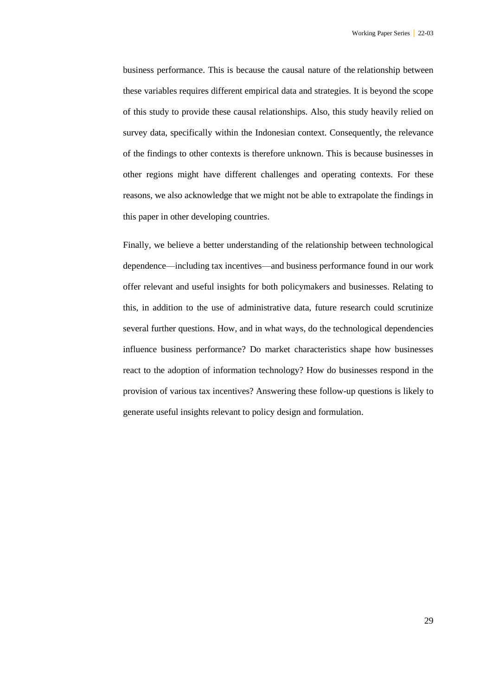business performance. This is because the causal nature of the relationship between these variables requires different empirical data and strategies. It is beyond the scope of this study to provide these causal relationships. Also, this study heavily relied on survey data, specifically within the Indonesian context. Consequently, the relevance of the findings to other contexts is therefore unknown. This is because businesses in other regions might have different challenges and operating contexts. For these reasons, we also acknowledge that we might not be able to extrapolate the findings in this paper in other developing countries.

Finally, we believe a better understanding of the relationship between technological dependence—including tax incentives—and business performance found in our work offer relevant and useful insights for both policymakers and businesses. Relating to this, in addition to the use of administrative data, future research could scrutinize several further questions. How, and in what ways, do the technological dependencies influence business performance? Do market characteristics shape how businesses react to the adoption of information technology? How do businesses respond in the provision of various tax incentives? Answering these follow-up questions is likely to generate useful insights relevant to policy design and formulation.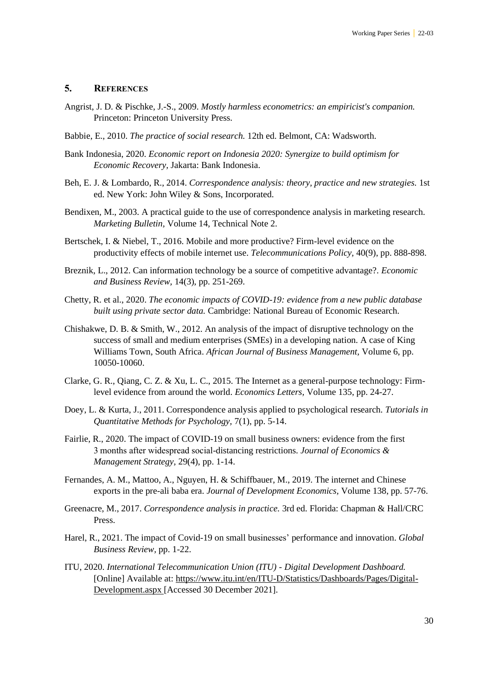#### **5. REFERENCES**

- Angrist, J. D. & Pischke, J.-S., 2009. *Mostly harmless econometrics: an empiricist's companion.*  Princeton: Princeton University Press.
- Babbie, E., 2010. *The practice of social research.* 12th ed. Belmont, CA: Wadsworth.
- Bank Indonesia, 2020. *Economic report on Indonesia 2020: Synergize to build optimism for Economic Recovery,* Jakarta: Bank Indonesia.
- Beh, E. J. & Lombardo, R., 2014. *Correspondence analysis: theory, practice and new strategies.* 1st ed. New York: John Wiley & Sons, Incorporated.
- Bendixen, M., 2003. A practical guide to the use of correspondence analysis in marketing research. *Marketing Bulletin,* Volume 14, Technical Note 2.
- Bertschek, I. & Niebel, T., 2016. Mobile and more productive? Firm-level evidence on the productivity effects of mobile internet use. *Telecommunications Policy,* 40(9), pp. 888-898.
- Breznik, L., 2012. Can information technology be a source of competitive advantage?. *Economic and Business Review,* 14(3), pp. 251-269.
- Chetty, R. et al., 2020. *The economic impacts of COVID-19: evidence from a new public database built using private sector data.* Cambridge: National Bureau of Economic Research.
- Chishakwe, D. B. & Smith, W., 2012. An analysis of the impact of disruptive technology on the success of small and medium enterprises (SMEs) in a developing nation. A case of King Williams Town, South Africa. *African Journal of Business Management,* Volume 6, pp. 10050-10060.
- Clarke, G. R., Qiang, C. Z. & Xu, L. C., 2015. The Internet as a general-purpose technology: Firmlevel evidence from around the world. *Economics Letters,* Volume 135, pp. 24-27.
- Doey, L. & Kurta, J., 2011. Correspondence analysis applied to psychological research. *Tutorials in Quantitative Methods for Psychology,* 7(1), pp. 5-14.
- Fairlie, R., 2020. The impact of COVID-19 on small business owners: evidence from the first 3 months after widespread social-distancing restrictions. *Journal of Economics & Management Strategy,* 29(4), pp. 1-14.
- Fernandes, A. M., Mattoo, A., Nguyen, H. & Schiffbauer, M., 2019. The internet and Chinese exports in the pre-ali baba era. *Journal of Development Economics,* Volume 138, pp. 57-76.
- Greenacre, M., 2017. *Correspondence analysis in practice.* 3rd ed. Florida: Chapman & Hall/CRC Press.
- Harel, R., 2021. The impact of Covid-19 on small businesses' performance and innovation. *Global Business Review,* pp. 1-22.
- ITU, 2020. *International Telecommunication Union (ITU) - Digital Development Dashboard.*  [Online] Available at: https://www.itu.int/en/ITU-D/Statistics/Dashboards/Pages/Digital-Development.aspx [Accessed 30 December 2021].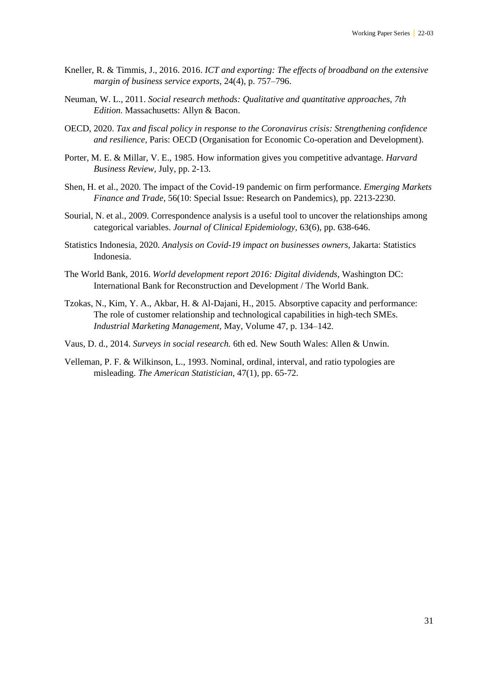- Kneller, R. & Timmis, J., 2016. 2016. *ICT and exporting: The effects of broadband on the extensive margin of business service exports,* 24(4), p. 757–796.
- Neuman, W. L., 2011. *Social research methods: Qualitative and quantitative approaches, 7th Edition.* Massachusetts: Allyn & Bacon.
- OECD, 2020. *Tax and fiscal policy in response to the Coronavirus crisis: Strengthening confidence and resilience,* Paris: OECD (Organisation for Economic Co-operation and Development).
- Porter, M. E. & Millar, V. E., 1985. How information gives you competitive advantage. *Harvard Business Review*, July, pp. 2-13.
- Shen, H. et al., 2020. The impact of the Covid-19 pandemic on firm performance. *Emerging Markets Finance and Trade,* 56(10: Special Issue: Research on Pandemics), pp. 2213-2230.
- Sourial, N. et al., 2009. Correspondence analysis is a useful tool to uncover the relationships among categorical variables. *Journal of Clinical Epidemiology,* 63(6), pp. 638-646.
- Statistics Indonesia, 2020. *Analysis on Covid-19 impact on businesses owners,* Jakarta: Statistics Indonesia.
- The World Bank, 2016. *World development report 2016: Digital dividends,* Washington DC: International Bank for Reconstruction and Development / The World Bank.
- Tzokas, N., Kim, Y. A., Akbar, H. & Al-Dajani, H., 2015. Absorptive capacity and performance: The role of customer relationship and technological capabilities in high-tech SMEs. *Industrial Marketing Management,* May, Volume 47, p. 134–142.
- Vaus, D. d., 2014. *Surveys in social research.* 6th ed. New South Wales: Allen & Unwin.
- Velleman, P. F. & Wilkinson, L., 1993. Nominal, ordinal, interval, and ratio typologies are misleading. *The American Statistician,* 47(1), pp. 65-72.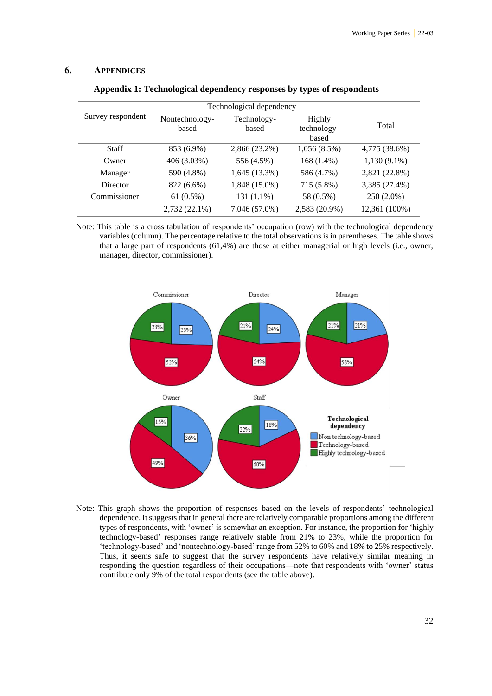#### **6. APPENDICES**

|                   | Technological dependency |                      |                                |                |
|-------------------|--------------------------|----------------------|--------------------------------|----------------|
| Survey respondent | Nontechnology-<br>based  | Technology-<br>based | Highly<br>technology-<br>based | Total          |
| <b>Staff</b>      | 853 (6.9%)               | 2,866 (23.2%)        | $1,056(8.5\%)$                 | 4,775 (38.6%)  |
| Owner             | 406 (3.03%)              | 556 (4.5%)           | 168 (1.4%)                     | $1,130(9.1\%)$ |
| Manager           | 590 (4.8%)               | 1,645 (13.3%)        | 586 (4.7%)                     | 2,821 (22.8%)  |
| Director          | 822 (6.6%)               | 1,848 (15.0%)        | 715 (5.8%)                     | 3,385 (27.4%)  |
| Commissioner      | 61(0.5%)                 | $131(1.1\%)$         | 58 (0.5%)                      | 250 (2.0%)     |
|                   | 2,732 (22.1%)            | 7,046 (57.0%)        | 2,583 (20.9%)                  | 12,361 (100%)  |

|  | Appendix 1: Technological dependency responses by types of respondents |  |  |  |  |
|--|------------------------------------------------------------------------|--|--|--|--|
|  |                                                                        |  |  |  |  |

Note: This table is a cross tabulation of respondents' occupation (row) with the technological dependency variables (column). The percentage relative to the total observations is in parentheses. The table shows that a large part of respondents (61,4%) are those at either managerial or high levels (i.e., owner, manager, director, commissioner).



Note: This graph shows the proportion of responses based on the levels of respondents' technological dependence. It suggests that in general there are relatively comparable proportions among the different types of respondents, with 'owner' is somewhat an exception. For instance, the proportion for 'highly technology-based' responses range relatively stable from 21% to 23%, while the proportion for 'technology-based' and 'nontechnology-based' range from 52% to 60% and 18% to 25% respectively. Thus, it seems safe to suggest that the survey respondents have relatively similar meaning in responding the question regardless of their occupations—note that respondents with 'owner' status contribute only 9% of the total respondents (see the table above).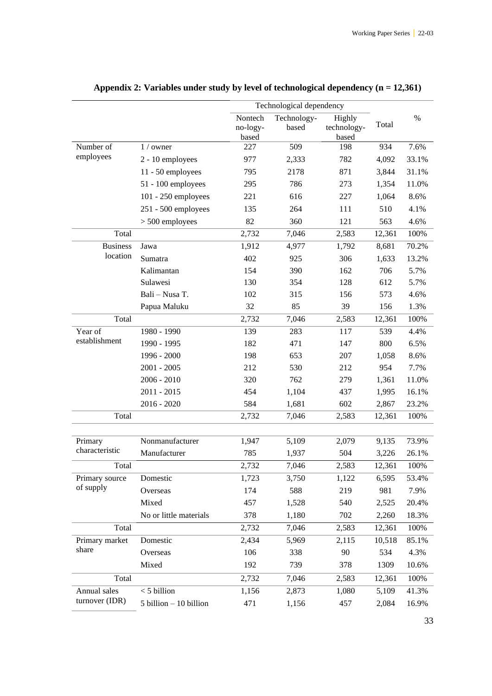|                         |                           | Technological dependency |             |              |        |       |
|-------------------------|---------------------------|--------------------------|-------------|--------------|--------|-------|
|                         |                           | Nontech                  | Technology- | Highly       |        | $\%$  |
|                         |                           | no-logy-                 | based       | technology-  | Total  |       |
| Number of               |                           | based<br>227             | 509         | based<br>198 | 934    | 7.6%  |
| employees               | $1/$ owner                |                          |             |              |        |       |
|                         | 2 - 10 employees          | 977                      | 2,333       | 782          | 4,092  | 33.1% |
|                         | 11 - 50 employees         | 795                      | 2178        | 871          | 3,844  | 31.1% |
|                         | 51 - 100 employees        | 295                      | 786         | 273          | 1,354  | 11.0% |
|                         | 101 - 250 employees       | 221                      | 616         | 227          | 1,064  | 8.6%  |
|                         | $251 - 500$ employees     | 135                      | 264         | 111          | 510    | 4.1%  |
|                         | $> 500$ employees         | 82                       | 360         | 121          | 563    | 4.6%  |
| Total                   |                           | 2,732                    | 7,046       | 2,583        | 12,361 | 100%  |
| <b>Business</b>         | Jawa                      | 1,912                    | 4,977       | 1,792        | 8,681  | 70.2% |
| location                | Sumatra                   | 402                      | 925         | 306          | 1,633  | 13.2% |
|                         | Kalimantan                | 154                      | 390         | 162          | 706    | 5.7%  |
|                         | Sulawesi                  | 130                      | 354         | 128          | 612    | 5.7%  |
|                         | Bali - Nusa T.            | 102                      | 315         | 156          | 573    | 4.6%  |
|                         | Papua Maluku              | 32                       | 85          | 39           | 156    | 1.3%  |
| Total                   |                           | 2,732                    | 7,046       | 2,583        | 12,361 | 100%  |
| Year of                 | 1980 - 1990               | 139                      | 283         | 117          | 539    | 4.4%  |
| establishment           | 1990 - 1995               | 182                      | 471         | 147          | 800    | 6.5%  |
|                         | 1996 - 2000               | 198                      | 653         | 207          | 1,058  | 8.6%  |
|                         | $2001 - 2005$             | 212                      | 530         | 212          | 954    | 7.7%  |
|                         | $2006 - 2010$             | 320                      | 762         | 279          | 1,361  | 11.0% |
|                         | 2011 - 2015               | 454                      | 1,104       | 437          | 1,995  | 16.1% |
|                         | $2016 - 2020$             | 584                      | 1,681       | 602          | 2,867  | 23.2% |
| Total                   |                           | 2,732                    | 7,046       | 2,583        | 12,361 | 100%  |
|                         |                           |                          |             |              |        |       |
| Primary                 | Nonmanufacturer           | 1,947                    | 5,109       | 2,079        | 9,135  | 73.9% |
| characteristic          | Manufacturer              | 785                      | 1,937       | 504          | 3,226  | 26.1% |
| Total                   |                           | 2,732                    | 7,046       | 2,583        | 12,361 | 100%  |
| Primary source          | Domestic                  | 1,723                    | 3,750       | 1,122        | 6,595  | 53.4% |
| of supply               | Overseas                  | 174                      | 588         | 219          | 981    | 7.9%  |
|                         | Mixed                     | 457                      | 1,528       | 540          | 2,525  | 20.4% |
|                         | No or little materials    | 378                      | 1,180       | 702          | 2,260  | 18.3% |
| Total                   |                           | 2,732                    | 7,046       | 2,583        | 12,361 | 100%  |
|                         |                           |                          |             |              |        |       |
| Primary market<br>share | Domestic                  | 2,434                    | 5,969       | 2,115        | 10,518 | 85.1% |
|                         | Overseas                  | 106                      | 338         | 90           | 534    | 4.3%  |
|                         | Mixed                     | 192                      | 739         | 378          | 1309   | 10.6% |
| Total                   |                           | 2,732                    | 7,046       | 2,583        | 12,361 | 100%  |
| Annual sales            | $<$ 5 billion             | 1,156                    | 2,873       | 1,080        | 5,109  | 41.3% |
| turnover (IDR)          | $5$ billion $-10$ billion | 471                      | 1,156       | 457          | 2,084  | 16.9% |

## **Appendix 2: Variables under study by level of technological dependency (n = 12,361)**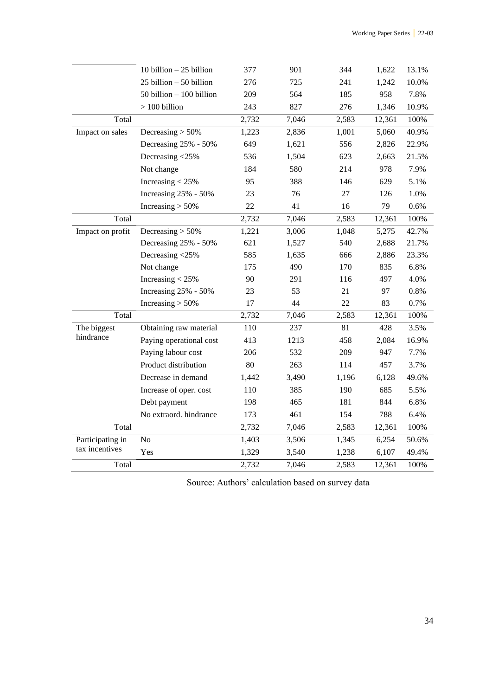|                  | 10 billion $-25$ billion    | 377   | 901   | 344   | 1,622  | 13.1% |
|------------------|-----------------------------|-------|-------|-------|--------|-------|
|                  | $25$ billion $-50$ billion  | 276   | 725   | 241   | 1,242  | 10.0% |
|                  | $50$ billion $-100$ billion | 209   | 564   | 185   | 958    | 7.8%  |
|                  | $> 100$ billion             | 243   | 827   | 276   | 1,346  | 10.9% |
| Total            |                             | 2,732 | 7,046 | 2,583 | 12,361 | 100%  |
| Impact on sales  | Decreasing $> 50\%$         | 1,223 | 2,836 | 1,001 | 5,060  | 40.9% |
|                  | Decreasing 25% - 50%        | 649   | 1,621 | 556   | 2,826  | 22.9% |
|                  | Decreasing <25%             | 536   | 1,504 | 623   | 2,663  | 21.5% |
|                  | Not change                  | 184   | 580   | 214   | 978    | 7.9%  |
|                  | Increasing $<$ 25%          | 95    | 388   | 146   | 629    | 5.1%  |
|                  | Increasing 25% - 50%        | 23    | 76    | 27    | 126    | 1.0%  |
|                  | Increasing $> 50\%$         | 22    | 41    | 16    | 79     | 0.6%  |
| Total            |                             | 2,732 | 7,046 | 2,583 | 12,361 | 100%  |
| Impact on profit | Decreasing $> 50\%$         | 1,221 | 3,006 | 1,048 | 5,275  | 42.7% |
|                  | Decreasing 25% - 50%        | 621   | 1,527 | 540   | 2,688  | 21.7% |
|                  | Decreasing <25%             | 585   | 1,635 | 666   | 2,886  | 23.3% |
|                  | Not change                  | 175   | 490   | 170   | 835    | 6.8%  |
|                  | Increasing $<$ 25%          | 90    | 291   | 116   | 497    | 4.0%  |
|                  | Increasing 25% - 50%        | 23    | 53    | 21    | 97     | 0.8%  |
|                  | Increasing $> 50\%$         | 17    | 44    | 22    | 83     | 0.7%  |
| Total            |                             | 2,732 | 7,046 | 2,583 | 12,361 | 100%  |
| The biggest      | Obtaining raw material      | 110   | 237   | 81    | 428    | 3.5%  |
| hindrance        | Paying operational cost     | 413   | 1213  | 458   | 2,084  | 16.9% |
|                  | Paying labour cost          | 206   | 532   | 209   | 947    | 7.7%  |
|                  | Product distribution        | 80    | 263   | 114   | 457    | 3.7%  |
|                  | Decrease in demand          | 1,442 | 3,490 | 1,196 | 6,128  | 49.6% |
|                  | Increase of oper. cost      | 110   | 385   | 190   | 685    | 5.5%  |
|                  | Debt payment                | 198   | 465   | 181   | 844    | 6.8%  |
|                  | No extraord. hindrance      | 173   | 461   | 154   | 788    | 6.4%  |
| Total            |                             | 2,732 | 7,046 | 2,583 | 12,361 | 100%  |
| Participating in | No                          | 1,403 | 3,506 | 1,345 | 6,254  | 50.6% |
| tax incentives   | Yes                         | 1,329 | 3,540 | 1,238 | 6,107  | 49.4% |
| Total            |                             | 2,732 | 7,046 | 2,583 | 12,361 | 100%  |

Source: Authors' calculation based on survey data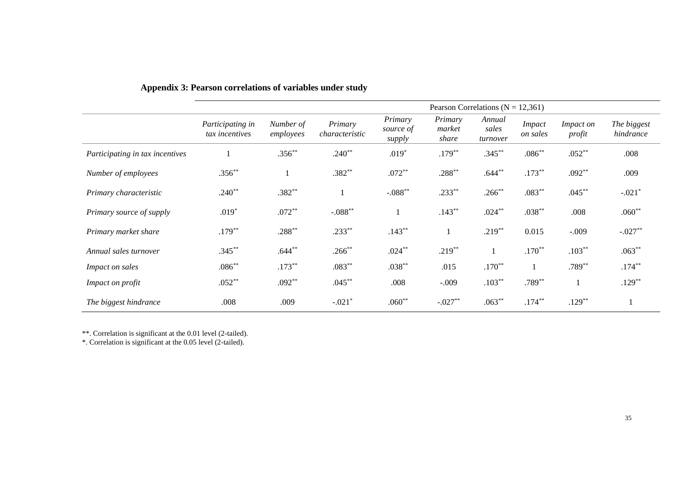|                                 | Pearson Correlations ( $N = 12,361$ ) |                        |                           |                                |                            |                             |                           |                            |                          |
|---------------------------------|---------------------------------------|------------------------|---------------------------|--------------------------------|----------------------------|-----------------------------|---------------------------|----------------------------|--------------------------|
|                                 | Participating in<br>tax incentives    | Number of<br>employees | Primary<br>characteristic | Primary<br>source of<br>supply | Primary<br>market<br>share | Annual<br>sales<br>turnover | <i>Impact</i><br>on sales | <i>Impact on</i><br>profit | The biggest<br>hindrance |
| Participating in tax incentives |                                       | $.356**$               | $.240**$                  | $.019*$                        | $.179**$                   | $.345***$                   | $.086**$                  | $.052**$                   | .008                     |
| Number of employees             | $.356***$                             |                        | $.382**$                  | $.072**$                       | $.288***$                  | $.644***$                   | $.173***$                 | $.092**$                   | .009                     |
| Primary characteristic          | $.240**$                              | $.382**$               |                           | $-.088**$                      | $.233**$                   | $.266**$                    | $.083**$                  | $.045**$                   | $-.021*$                 |
| Primary source of supply        | $.019*$                               | $.072**$               | $-.088**$                 |                                | $.143**$                   | $.024**$                    | $.038**$                  | .008                       | $.060**$                 |
| Primary market share            | $.179***$                             | $.288**$               | $.233**$                  | $.143**$                       |                            | $.219**$                    | 0.015                     | $-.009$                    | $-.027**$                |
| Annual sales turnover           | $.345***$                             | $.644**$               | $.266^{**}$               | $.024**$                       | $.219**$                   |                             | $.170**$                  | $.103**$                   | $.063**$                 |
| Impact on sales                 | $.086**$                              | $.173**$               | $.083**$                  | $.038**$                       | .015                       | $.170**$                    |                           | $.789**$                   | $.174***$                |
| <i>Impact on profit</i>         | $.052**$                              | $.092**$               | $.045***$                 | .008                           | $-.009$                    | $.103**$                    | $.789**$                  | 1                          | $.129**$                 |
| The biggest hindrance           | .008                                  | .009                   | $-.021*$                  | $.060**$                       | $-.027**$                  | $.063**$                    | $.174***$                 | $.129**$                   |                          |

### **Appendix 3: Pearson correlations of variables under study**

\*\*. Correlation is significant at the 0.01 level (2-tailed).

\*. Correlation is significant at the 0.05 level (2-tailed).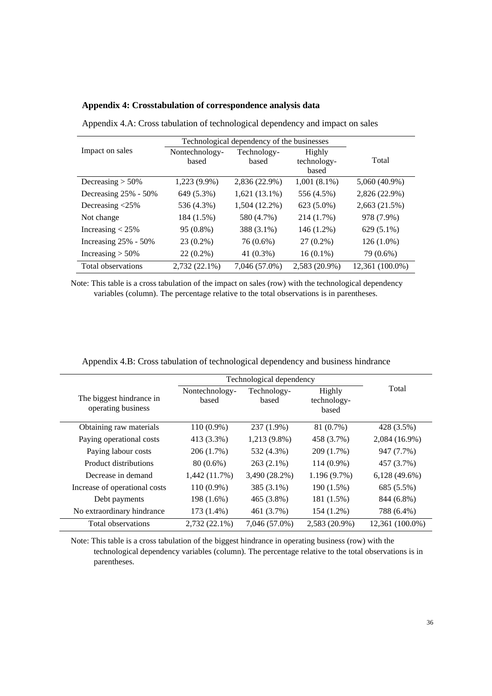|  |  |  | Appendix 4: Crosstabulation of correspondence analysis data |  |  |  |  |  |
|--|--|--|-------------------------------------------------------------|--|--|--|--|--|
|--|--|--|-------------------------------------------------------------|--|--|--|--|--|

|                         | Technological dependency of the businesses |                      |                                |                 |
|-------------------------|--------------------------------------------|----------------------|--------------------------------|-----------------|
| Impact on sales         | Nontechnology-<br>based                    | Technology-<br>based | Highly<br>technology-<br>based | Total           |
| Decreasing $> 50\%$     | 1,223 (9.9%)                               | 2,836 (22.9%)        | $1,001(8.1\%)$                 | 5,060 (40.9%)   |
| Decreasing 25% - 50%    | 649 (5.3%)                                 | $1,621(13.1\%)$      | 556 (4.5%)                     | 2,826 (22.9%)   |
| Decreasing $<$ 25%      | 536 (4.3%)                                 | 1,504 (12.2%)        | 623 (5.0%)                     | 2,663 (21.5%)   |
| Not change              | 184 (1.5%)                                 | 580 (4.7%)           | 214 (1.7%)                     | 978 (7.9%)      |
| Increasing $< 25\%$     | 95 (0.8%)                                  | 388 (3.1%)           | 146 (1.2%)                     | 629 (5.1%)      |
| Increasing $25\%$ - 50% | 23 (0.2%)                                  | 76 (0.6%)            | $27(0.2\%)$                    | $126(1.0\%)$    |
| Increasing $> 50\%$     | $22(0.2\%)$                                | 41 $(0.3\%)$         | $16(0.1\%)$                    | 79 (0.6%)       |
| Total observations      | 2,732 (22.1%)                              | 7,046 (57.0%)        | 2,583 (20.9%)                  | 12.361 (100.0%) |

Appendix 4.A: Cross tabulation of technological dependency and impact on sales

Note: This table is a cross tabulation of the impact on sales (row) with the technological dependency variables (column). The percentage relative to the total observations is in parentheses.

|                                                |                         | Technological dependency |                                |                 |
|------------------------------------------------|-------------------------|--------------------------|--------------------------------|-----------------|
| The biggest hindrance in<br>operating business | Nontechnology-<br>based | Technology-<br>based     | Highly<br>technology-<br>based | Total           |
| Obtaining raw materials                        | 110 (0.9%)              | 237 (1.9%)               | 81 (0.7%)                      | 428 (3.5%)      |
| Paying operational costs                       | 413 (3.3%)              | 1,213 (9.8%)             | 458 (3.7%)                     | 2,084 (16.9%)   |
| Paying labour costs                            | 206 (1.7%)              | 532 (4.3%)               | 209 (1.7%)                     | 947 (7.7%)      |
| Product distributions                          | $80(0.6\%)$             | $263(2.1\%)$             | $114(0.9\%)$                   | 457 (3.7%)      |
| Decrease in demand                             | 1,442 (11.7%)           | 3,490 (28.2%)            | 1.196(9.7%)                    | $6,128(49.6\%)$ |
| Increase of operational costs                  | 110 (0.9%)              | 385 (3.1%)               | 190 (1.5%)                     | 685 (5.5%)      |
| Debt payments                                  | 198 (1.6%)              | 465 (3.8%)               | 181 (1.5%)                     | 844 (6.8%)      |
| No extraordinary hindrance                     | 173 (1.4%)              | 461 (3.7%)               | 154 (1.2%)                     | 788 (6.4%)      |
| Total observations                             | $2,732(22.1\%)$         | 7,046 (57.0%)            | 2,583 (20.9%)                  | 12,361 (100.0%) |

Appendix 4.B: Cross tabulation of technological dependency and business hindrance

Note: This table is a cross tabulation of the biggest hindrance in operating business (row) with the technological dependency variables (column). The percentage relative to the total observations is in parentheses.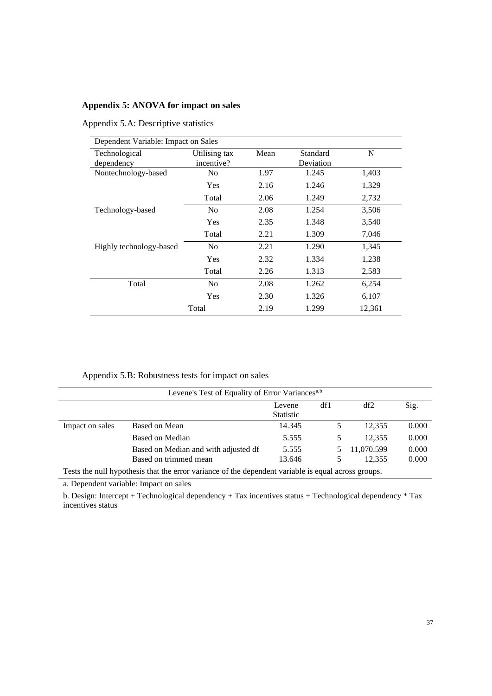#### **Appendix 5: ANOVA for impact on sales**

Appendix 5.A: Descriptive statistics

| Dependent Variable: Impact on Sales |               |      |           |        |
|-------------------------------------|---------------|------|-----------|--------|
| Technological                       | Utilising tax | Mean | Standard  | N      |
| dependency                          | incentive?    |      | Deviation |        |
| Nontechnology-based                 | No            | 1.97 | 1.245     | 1,403  |
|                                     | Yes           | 2.16 | 1.246     | 1,329  |
|                                     | Total         | 2.06 | 1.249     | 2,732  |
| Technology-based                    | No            | 2.08 | 1.254     | 3,506  |
|                                     | Yes           | 2.35 | 1.348     | 3,540  |
|                                     | Total         | 2.21 | 1.309     | 7,046  |
| Highly technology-based             | No            | 2.21 | 1.290     | 1,345  |
|                                     | Yes           | 2.32 | 1.334     | 1,238  |
|                                     | Total         | 2.26 | 1.313     | 2,583  |
| Total                               | No            | 2.08 | 1.262     | 6,254  |
|                                     | Yes           | 2.30 | 1.326     | 6,107  |
|                                     | Total         | 2.19 | 1.299     | 12,361 |

Appendix 5.B: Robustness tests for impact on sales

|                 | Levene's Test of Equality of Error Variances <sup>a,b</sup>                                         |                  |     |                 |       |
|-----------------|-----------------------------------------------------------------------------------------------------|------------------|-----|-----------------|-------|
|                 |                                                                                                     | Levene           | df1 | df <sub>2</sub> | Sig.  |
|                 |                                                                                                     | <b>Statistic</b> |     |                 |       |
| Impact on sales | Based on Mean                                                                                       | 14.345           | 5   | 12.355          | 0.000 |
|                 | Based on Median                                                                                     | 5.555            | 5   | 12.355          | 0.000 |
|                 | Based on Median and with adjusted df                                                                | 5.555            |     | 11,070.599      | 0.000 |
|                 | Based on trimmed mean                                                                               | 13.646           |     | 12.355          | 0.000 |
|                 | Tests the null hypothesis that the error variance of the dependent variable is equal across groups. |                  |     |                 |       |

a. Dependent variable: Impact on sales

b. Design: Intercept + Technological dependency + Tax incentives status + Technological dependency \* Tax incentives status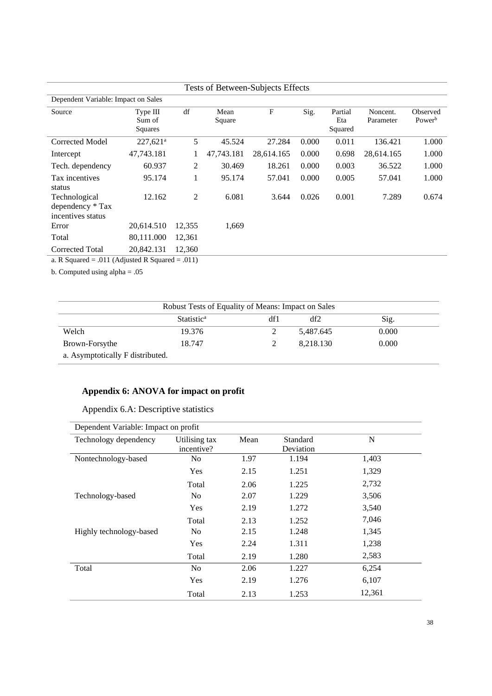|                                                        |                               |                |                | Tests of Between-Subjects Effects |       |                           |                       |                                |
|--------------------------------------------------------|-------------------------------|----------------|----------------|-----------------------------------|-------|---------------------------|-----------------------|--------------------------------|
| Dependent Variable: Impact on Sales                    |                               |                |                |                                   |       |                           |                       |                                |
| Source                                                 | Type III<br>Sum of<br>Squares | df             | Mean<br>Square | $\mathbf{F}$                      | Sig.  | Partial<br>Eta<br>Squared | Noncent.<br>Parameter | Observed<br>Power <sup>b</sup> |
| Corrected Model                                        | $227,621$ <sup>a</sup>        | 5              | 45.524         | 27.284                            | 0.000 | 0.011                     | 136.421               | 1.000                          |
| Intercept                                              | 47,743.181                    |                | 47,743.181     | 28,614.165                        | 0.000 | 0.698                     | 28,614.165            | 1.000                          |
| Tech. dependency                                       | 60.937                        | 2              | 30.469         | 18.261                            | 0.000 | 0.003                     | 36.522                | 1.000                          |
| Tax incentives<br>status                               | 95.174                        | 1              | 95.174         | 57.041                            | 0.000 | 0.005                     | 57.041                | 1.000                          |
| Technological<br>dependency * Tax<br>incentives status | 12.162                        | $\mathfrak{2}$ | 6.081          | 3.644                             | 0.026 | 0.001                     | 7.289                 | 0.674                          |
| Error                                                  | 20,614.510                    | 12,355         | 1,669          |                                   |       |                           |                       |                                |
| Total                                                  | 80,111.000                    | 12,361         |                |                                   |       |                           |                       |                                |
| Corrected Total                                        | 20,842.131                    | 12,360         |                |                                   |       |                           |                       |                                |
| a. R Squared = .011 (Adjusted R Squared = .011)        |                               |                |                |                                   |       |                           |                       |                                |

b. Computed using alpha = .05

|                                  | Robust Tests of Equality of Means: Impact on Sales |     |           |       |
|----------------------------------|----------------------------------------------------|-----|-----------|-------|
|                                  | Statistic <sup>a</sup>                             | df1 | df2       | Sig.  |
| Welch                            | 19.376                                             | ∠   | 5,487.645 | 0.000 |
| Brown-Forsythe                   | 18.747                                             | ∠   | 8.218.130 | 0.000 |
| a. Asymptotically F distributed. |                                                    |     |           |       |

## **Appendix 6: ANOVA for impact on profit**

## Appendix 6.A: Descriptive statistics

| Dependent Variable: Impact on profit |                             |      |                       |        |
|--------------------------------------|-----------------------------|------|-----------------------|--------|
| Technology dependency                | Utilising tax<br>incentive? | Mean | Standard<br>Deviation | N      |
| Nontechnology-based                  | N <sub>0</sub>              | 1.97 | 1.194                 | 1,403  |
|                                      | <b>Yes</b>                  | 2.15 | 1.251                 | 1,329  |
|                                      | Total                       | 2.06 | 1.225                 | 2,732  |
| Technology-based                     | N <sub>0</sub>              | 2.07 | 1.229                 | 3,506  |
|                                      | <b>Yes</b>                  | 2.19 | 1.272                 | 3,540  |
|                                      | Total                       | 2.13 | 1.252                 | 7,046  |
| Highly technology-based              | N <sub>0</sub>              | 2.15 | 1.248                 | 1,345  |
|                                      | <b>Yes</b>                  | 2.24 | 1.311                 | 1,238  |
|                                      | Total                       | 2.19 | 1.280                 | 2,583  |
| Total                                | N <sub>0</sub>              | 2.06 | 1.227                 | 6,254  |
|                                      | <b>Yes</b>                  | 2.19 | 1.276                 | 6,107  |
|                                      | Total                       | 2.13 | 1.253                 | 12,361 |